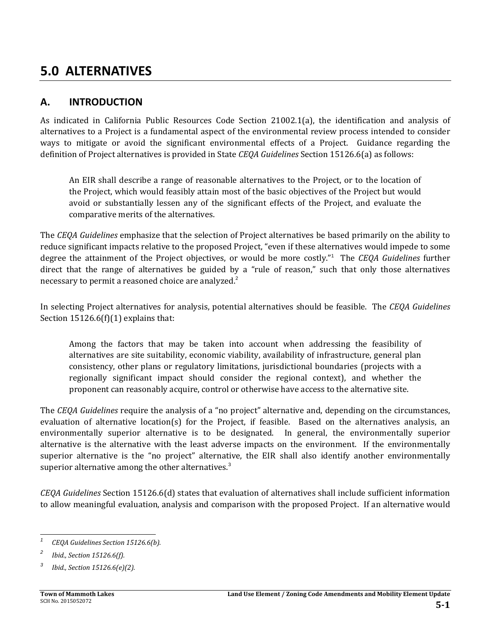# **5.0 ALTERNATIVES**

## **A. INTRODUCTION**

As indicated in California Public Resources Code Section  $21002.1(a)$ , the identification and analysis of alternatives to a Project is a fundamental aspect of the environmental review process intended to consider ways to mitigate or avoid the significant environmental effects of a Project. Guidance regarding the definition of Project alternatives is provided in State *CEQA Guidelines* Section 15126.6(a) as follows:

An EIR shall describe a range of reasonable alternatives to the Project, or to the location of the Project, which would feasibly attain most of the basic objectives of the Project but would avoid or substantially lessen any of the significant effects of the Project, and evaluate the comparative merits of the alternatives.

The *CEQA Guidelines* emphasize that the selection of Project alternatives be based primarily on the ability to reduce significant impacts relative to the proposed Project, "even if these alternatives would impede to some degree the attainment of the Project objectives, or would be more costly."<sup>1</sup> The CEQA Guidelines further direct that the range of alternatives be guided by a "rule of reason," such that only those alternatives necessary to permit a reasoned choice are analyzed.<sup>2</sup>

In selecting Project alternatives for analysis, potential alternatives should be feasible. The *CEQA Guidelines* Section  $15126.6(f)(1)$  explains that:

Among the factors that may be taken into account when addressing the feasibility of alternatives are site suitability, economic viability, availability of infrastructure, general plan consistency, other plans or regulatory limitations, jurisdictional boundaries (projects with a regionally significant impact should consider the regional context), and whether the proponent can reasonably acquire, control or otherwise have access to the alternative site.

The *CEQA Guidelines* require the analysis of a "no project" alternative and, depending on the circumstances, evaluation of alternative location(s) for the Project, if feasible. Based on the alternatives analysis, an environmentally superior alternative is to be designated. In general, the environmentally superior alternative is the alternative with the least adverse impacts on the environment. If the environmentally superior alternative is the "no project" alternative, the EIR shall also identify another environmentally superior alternative among the other alternatives. $3$ 

*CEQA Guidelines* Section 15126.6(d) states that evaluation of alternatives shall include sufficient information to allow meaningful evaluation, analysis and comparison with the proposed Project. If an alternative would

<sup>&</sup>lt;u> 1989 - Johann Stein, fransk politiker (d. 1989)</u> *<sup>1</sup> CEQA Guidelines Section 15126.6(b).*

*<sup>2</sup> Ibid., Section 15126.6(f).*

*<sup>3</sup> Ibid., Section 15126.6(e)(2).*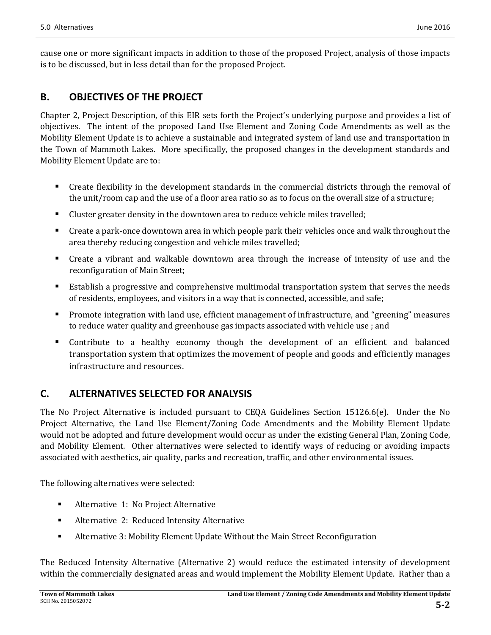cause one or more significant impacts in addition to those of the proposed Project, analysis of those impacts is to be discussed, but in less detail than for the proposed Project.

## **B. OBJECTIVES OF THE PROJECT**

Chapter 2, Project Description, of this EIR sets forth the Project's underlying purpose and provides a list of objectives. The intent of the proposed Land Use Element and Zoning Code Amendments as well as the Mobility Element Update is to achieve a sustainable and integrated system of land use and transportation in the Town of Mammoth Lakes. More specifically, the proposed changes in the development standards and Mobility Element Update are to:

- Create flexibility in the development standards in the commercial districts through the removal of the unit/room cap and the use of a floor area ratio so as to focus on the overall size of a structure;
- **EXECUTE:** Cluster greater density in the downtown area to reduce vehicle miles travelled;
- Create a park-once downtown area in which people park their vehicles once and walk throughout the area thereby reducing congestion and vehicle miles travelled;
- Create a vibrant and walkable downtown area through the increase of intensity of use and the reconfiguration of Main Street;
- Establish a progressive and comprehensive multimodal transportation system that serves the needs of residents, employees, and visitors in a way that is connected, accessible, and safe;
- Promote integration with land use, efficient management of infrastructure, and "greening" measures to reduce water quality and greenhouse gas impacts associated with vehicle use ; and
- **EX Contribute** to a healthy economy though the development of an efficient and balanced transportation system that optimizes the movement of people and goods and efficiently manages infrastructure and resources.

## **C. ALTERNATIVES SELECTED FOR ANALYSIS**

The No Project Alternative is included pursuant to CEQA Guidelines Section 15126.6(e). Under the No Project Alternative, the Land Use Element/Zoning Code Amendments and the Mobility Element Update would not be adopted and future development would occur as under the existing General Plan, Zoning Code, and Mobility Element. Other alternatives were selected to identify ways of reducing or avoiding impacts associated with aesthetics, air quality, parks and recreation, traffic, and other environmental issues.

The following alternatives were selected:

- Alternative 1: No Project Alternative
- Alternative 2: Reduced Intensity Alternative
- **Alternative 3: Mobility Element Update Without the Main Street Reconfiguration**

The Reduced Intensity Alternative (Alternative 2) would reduce the estimated intensity of development within the commercially designated areas and would implement the Mobility Element Update. Rather than a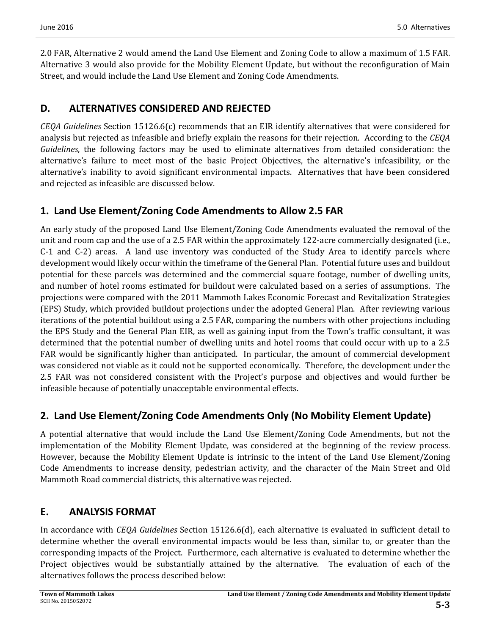2.0 FAR, Alternative 2 would amend the Land Use Element and Zoning Code to allow a maximum of 1.5 FAR. Alternative 3 would also provide for the Mobility Element Update, but without the reconfiguration of Main Street, and would include the Land Use Element and Zoning Code Amendments.

### **D. ALTERNATIVES CONSIDERED AND REJECTED**

*CEQA Guidelines* Section 15126.6(c) recommends that an EIR identify alternatives that were considered for analysis but rejected as infeasible and briefly explain the reasons for their rejection. According to the CEQA *Guidelines*, the following factors may be used to eliminate alternatives from detailed consideration: the alternative's failure to meet most of the basic Project Objectives, the alternative's infeasibility, or the alternative's inability to avoid significant environmental impacts. Alternatives that have been considered and rejected as infeasible are discussed below.

### **1. Land Use Element/Zoning Code Amendments to Allow 2.5 FAR**

An early study of the proposed Land Use Element/Zoning Code Amendments evaluated the removal of the unit and room cap and the use of a 2.5 FAR within the approximately 122-acre commercially designated (i.e., C-1 and C-2) areas. A land use inventory was conducted of the Study Area to identify parcels where development would likely occur within the timeframe of the General Plan. Potential future uses and buildout potential for these parcels was determined and the commercial square footage, number of dwelling units, and number of hotel rooms estimated for buildout were calculated based on a series of assumptions. The projections were compared with the 2011 Mammoth Lakes Economic Forecast and Revitalization Strategies (EPS) Study, which provided buildout projections under the adopted General Plan. After reviewing various iterations of the potential buildout using a 2.5 FAR, comparing the numbers with other projections including the EPS Study and the General Plan EIR, as well as gaining input from the Town's traffic consultant, it was determined that the potential number of dwelling units and hotel rooms that could occur with up to a 2.5 FAR would be significantly higher than anticipated. In particular, the amount of commercial development was considered not viable as it could not be supported economically. Therefore, the development under the 2.5 FAR was not considered consistent with the Project's purpose and objectives and would further be infeasible because of potentially unacceptable environmental effects.

## **2. Land Use Element/Zoning Code Amendments Only (No Mobility Element Update)**

A potential alternative that would include the Land Use Element/Zoning Code Amendments, but not the implementation of the Mobility Element Update, was considered at the beginning of the review process. However, because the Mobility Element Update is intrinsic to the intent of the Land Use Element/Zoning Code Amendments to increase density, pedestrian activity, and the character of the Main Street and Old Mammoth Road commercial districts, this alternative was rejected.

### **E. ANALYSIS FORMAT**

In accordance with *CEOA Guidelines* Section 15126.6(d), each alternative is evaluated in sufficient detail to determine whether the overall environmental impacts would be less than, similar to, or greater than the corresponding impacts of the Project. Furthermore, each alternative is evaluated to determine whether the Project objectives would be substantially attained by the alternative. The evaluation of each of the alternatives follows the process described below: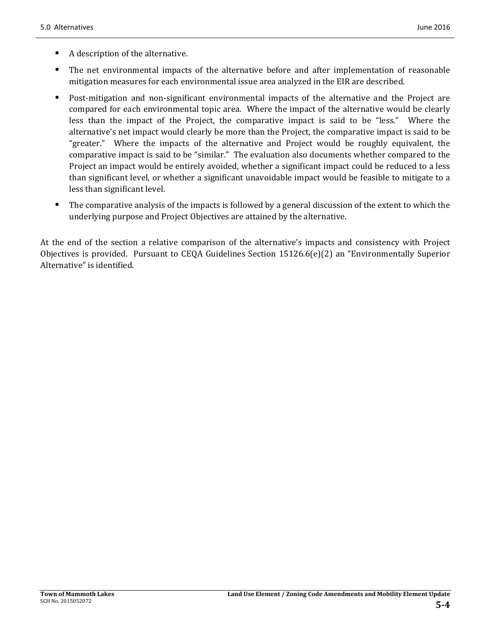- $\blacksquare$  A description of the alternative.
- The net environmental impacts of the alternative before and after implementation of reasonable mitigation measures for each environmental issue area analyzed in the EIR are described.
- Post-mitigation and non-significant environmental impacts of the alternative and the Project are compared for each environmental topic area. Where the impact of the alternative would be clearly less than the impact of the Project, the comparative impact is said to be "less." Where the alternative's net impact would clearly be more than the Project, the comparative impact is said to be "greater." Where the impacts of the alternative and Project would be roughly equivalent, the comparative impact is said to be "similar." The evaluation also documents whether compared to the Project an impact would be entirely avoided, whether a significant impact could be reduced to a less than significant level, or whether a significant unavoidable impact would be feasible to mitigate to a less than significant level.
- The comparative analysis of the impacts is followed by a general discussion of the extent to which the underlying purpose and Project Objectives are attained by the alternative.

At the end of the section a relative comparison of the alternative's impacts and consistency with Project Objectives is provided. Pursuant to CEQA Guidelines Section  $15126.6(e)(2)$  an "Environmentally Superior" Alternative" is identified.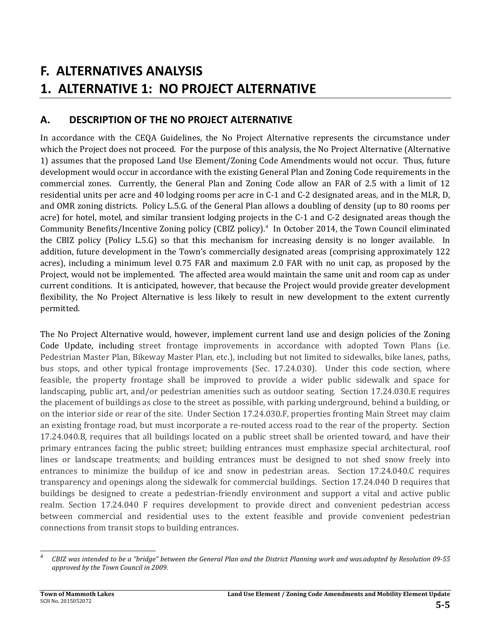# **F. ALTERNATIVES ANALYSIS 1. ALTERNATIVE 1: NO PROJECT ALTERNATIVE**

## **A. DESCRIPTION OF THE NO PROJECT ALTERNATIVE**

In accordance with the CEQA Guidelines, the No Project Alternative represents the circumstance under which the Project does not proceed. For the purpose of this analysis, the No Project Alternative (Alternative 1) assumes that the proposed Land Use Element/Zoning Code Amendments would not occur. Thus, future development would occur in accordance with the existing General Plan and Zoning Code requirements in the commercial zones. Currently, the General Plan and Zoning Code allow an FAR of 2.5 with a limit of 12 residential units per acre and 40 lodging rooms per acre in C-1 and C-2 designated areas, and in the MLR, D, and OMR zoning districts. Policy L.5.G. of the General Plan allows a doubling of density (up to 80 rooms per acre) for hotel, motel, and similar transient lodging projects in the C-1 and C-2 designated areas though the Community Benefits/Incentive Zoning policy (CBIZ policy).<sup>4</sup> In October 2014, the Town Council eliminated the CBIZ policy (Policy L.5.G) so that this mechanism for increasing density is no longer available. In addition, future development in the Town's commercially designated areas (comprising approximately 122 acres), including a minimum level 0.75 FAR and maximum 2.0 FAR with no unit cap, as proposed by the Project, would not be implemented. The affected area would maintain the same unit and room cap as under current conditions. It is anticipated, however, that because the Project would provide greater development flexibility, the No Project Alternative is less likely to result in new development to the extent currently permitted. 

The No Project Alternative would, however, implement current land use and design policies of the Zoning Code Update, including street frontage improvements in accordance with adopted Town Plans (i.e. Pedestrian Master Plan, Bikeway Master Plan, etc.), including but not limited to sidewalks, bike lanes, paths, bus stops, and other typical frontage improvements (Sec. 17.24.030). Under this code section, where feasible, the property frontage shall be improved to provide a wider public sidewalk and space for landscaping, public art, and/or pedestrian amenities such as outdoor seating. Section 17.24.030.E requires the placement of buildings as close to the street as possible, with parking underground, behind a building, or on the interior side or rear of the site. Under Section 17.24.030.F, properties fronting Main Street may claim an existing frontage road, but must incorporate a re-routed access road to the rear of the property. Section 17.24.040.B, requires that all buildings located on a public street shall be oriented toward, and have their primary entrances facing the public street; building entrances must emphasize special architectural, roof lines or landscape treatments; and building entrances must be designed to not shed snow freely into entrances to minimize the buildup of ice and snow in pedestrian areas. Section  $17.24.040.C$  requires transparency and openings along the sidewalk for commercial buildings. Section 17.24.040 D requires that buildings be designed to create a pedestrian-friendly environment and support a vital and active public realm. Section 17.24.040 F requires development to provide direct and convenient pedestrian access between commercial and residential uses to the extent feasible and provide convenient pedestrian connections from transit stops to building entrances.

 *4* CBIZ was intended to be a "bridge" between the General Plan and the District Planning work and was adopted by Resolution 09-55 *approved by the Town Council in 2009.*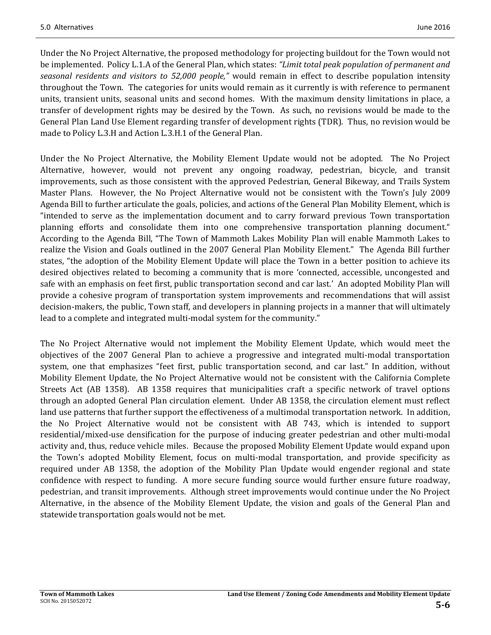Under the No Project Alternative, the proposed methodology for projecting buildout for the Town would not be implemented. Policy L.1.A of the General Plan, which states: "Limit total peak population of permanent and *seasonal residents and visitors to 52,000 people,"* would remain in effect to describe population intensity throughout the Town. The categories for units would remain as it currently is with reference to permanent units, transient units, seasonal units and second homes. With the maximum density limitations in place, a transfer of development rights may be desired by the Town. As such, no revisions would be made to the General Plan Land Use Element regarding transfer of development rights (TDR). Thus, no revision would be made to Policy L.3.H and Action L.3.H.1 of the General Plan.

Under the No Project Alternative, the Mobility Element Update would not be adopted. The No Project Alternative, however, would not prevent any ongoing roadway, pedestrian, bicycle, and transit improvements, such as those consistent with the approved Pedestrian, General Bikeway, and Trails System Master Plans. However, the No Project Alternative would not be consistent with the Town's July 2009 Agenda Bill to further articulate the goals, policies, and actions of the General Plan Mobility Element, which is "intended to serve as the implementation document and to carry forward previous Town transportation planning efforts and consolidate them into one comprehensive transportation planning document." According to the Agenda Bill, "The Town of Mammoth Lakes Mobility Plan will enable Mammoth Lakes to realize the Vision and Goals outlined in the 2007 General Plan Mobility Element." The Agenda Bill further states, "the adoption of the Mobility Element Update will place the Town in a better position to achieve its desired objectives related to becoming a community that is more 'connected, accessible, uncongested and safe with an emphasis on feet first, public transportation second and car last.' An adopted Mobility Plan will provide a cohesive program of transportation system improvements and recommendations that will assist decision-makers, the public, Town staff, and developers in planning projects in a manner that will ultimately lead to a complete and integrated multi-modal system for the community."

The No Project Alternative would not implement the Mobility Element Update, which would meet the objectives of the 2007 General Plan to achieve a progressive and integrated multi-modal transportation system, one that emphasizes "feet first, public transportation second, and car last." In addition, without Mobility Element Update, the No Project Alternative would not be consistent with the California Complete Streets Act (AB 1358). AB 1358 requires that municipalities craft a specific network of travel options through an adopted General Plan circulation element. Under AB 1358, the circulation element must reflect land use patterns that further support the effectiveness of a multimodal transportation network. In addition, the No Project Alternative would not be consistent with AB 743, which is intended to support residential/mixed-use densification for the purpose of inducing greater pedestrian and other multi-modal activity and, thus, reduce vehicle miles. Because the proposed Mobility Element Update would expand upon the Town's adopted Mobility Element, focus on multi-modal transportation, and provide specificity as required under AB 1358, the adoption of the Mobility Plan Update would engender regional and state confidence with respect to funding. A more secure funding source would further ensure future roadway, pedestrian, and transit improvements. Although street improvements would continue under the No Project Alternative, in the absence of the Mobility Element Update, the vision and goals of the General Plan and statewide transportation goals would not be met.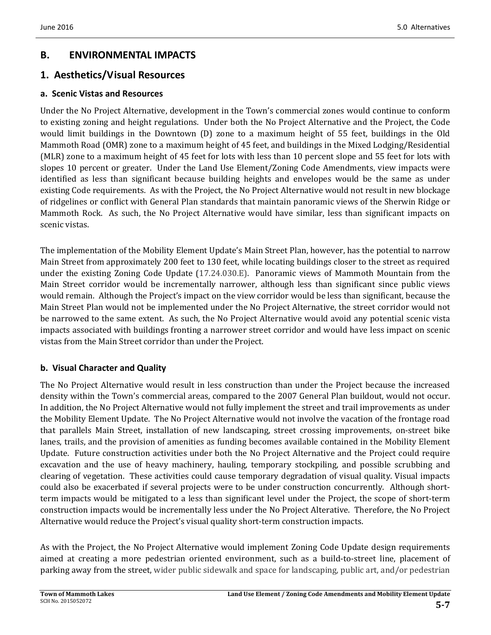## **B. ENVIRONMENTAL IMPACTS**

### **1. Aesthetics/Visual Resources**

### **a. Scenic Vistas and Resources**

Under the No Project Alternative, development in the Town's commercial zones would continue to conform to existing zoning and height regulations. Under both the No Project Alternative and the Project, the Code would limit buildings in the Downtown (D) zone to a maximum height of 55 feet, buildings in the Old Mammoth Road (OMR) zone to a maximum height of 45 feet, and buildings in the Mixed Lodging/Residential (MLR) zone to a maximum height of 45 feet for lots with less than 10 percent slope and 55 feet for lots with slopes 10 percent or greater. Under the Land Use Element/Zoning Code Amendments, view impacts were identified as less than significant because building heights and envelopes would be the same as under existing Code requirements. As with the Project, the No Project Alternative would not result in new blockage of ridgelines or conflict with General Plan standards that maintain panoramic views of the Sherwin Ridge or Mammoth Rock. As such, the No Project Alternative would have similar, less than significant impacts on scenic vistas.

The implementation of the Mobility Element Update's Main Street Plan, however, has the potential to narrow Main Street from approximately 200 feet to 130 feet, while locating buildings closer to the street as required under the existing Zoning Code Update (17.24.030.E). Panoramic views of Mammoth Mountain from the Main Street corridor would be incrementally narrower, although less than significant since public views would remain. Although the Project's impact on the view corridor would be less than significant, because the Main Street Plan would not be implemented under the No Project Alternative, the street corridor would not be narrowed to the same extent. As such, the No Project Alternative would avoid any potential scenic vista impacts associated with buildings fronting a narrower street corridor and would have less impact on scenic vistas from the Main Street corridor than under the Project.

### **b. Visual Character and Quality**

The No Project Alternative would result in less construction than under the Project because the increased density within the Town's commercial areas, compared to the 2007 General Plan buildout, would not occur. In addition, the No Project Alternative would not fully implement the street and trail improvements as under the Mobility Element Update. The No Project Alternative would not involve the vacation of the frontage road that parallels Main Street, installation of new landscaping, street crossing improvements, on-street bike lanes, trails, and the provision of amenities as funding becomes available contained in the Mobility Element Update. Future construction activities under both the No Project Alternative and the Project could require excavation and the use of heavy machinery, hauling, temporary stockpiling, and possible scrubbing and clearing of vegetation. These activities could cause temporary degradation of visual quality. Visual impacts could also be exacerbated if several projects were to be under construction concurrently. Although shortterm impacts would be mitigated to a less than significant level under the Project, the scope of short-term construction impacts would be incrementally less under the No Project Alterative. Therefore, the No Project Alternative would reduce the Project's visual quality short-term construction impacts.

As with the Project, the No Project Alternative would implement Zoning Code Update design requirements aimed at creating a more pedestrian oriented environment, such as a build-to-street line, placement of parking away from the street, wider public sidewalk and space for landscaping, public art, and/or pedestrian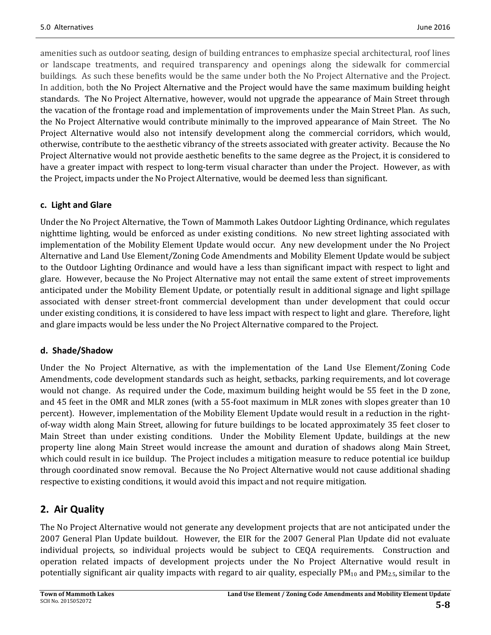amenities such as outdoor seating, design of building entrances to emphasize special architectural, roof lines or landscape treatments, and required transparency and openings along the sidewalk for commercial buildings. As such these benefits would be the same under both the No Project Alternative and the Project. In addition, both the No Project Alternative and the Project would have the same maximum building height standards. The No Project Alternative, however, would not upgrade the appearance of Main Street through the vacation of the frontage road and implementation of improvements under the Main Street Plan. As such, the No Project Alternative would contribute minimally to the improved appearance of Main Street. The No Project Alternative would also not intensify development along the commercial corridors, which would, otherwise, contribute to the aesthetic vibrancy of the streets associated with greater activity. Because the No Project Alternative would not provide aesthetic benefits to the same degree as the Project, it is considered to have a greater impact with respect to long-term visual character than under the Project. However, as with the Project, impacts under the No Project Alternative, would be deemed less than significant.

#### **c. Light and Glare**

Under the No Project Alternative, the Town of Mammoth Lakes Outdoor Lighting Ordinance, which regulates nighttime lighting, would be enforced as under existing conditions. No new street lighting associated with implementation of the Mobility Element Update would occur. Any new development under the No Project Alternative and Land Use Element/Zoning Code Amendments and Mobility Element Update would be subject to the Outdoor Lighting Ordinance and would have a less than significant impact with respect to light and glare. However, because the No Project Alternative may not entail the same extent of street improvements anticipated under the Mobility Element Update, or potentially result in additional signage and light spillage associated with denser street-front commercial development than under development that could occur under existing conditions, it is considered to have less impact with respect to light and glare. Therefore, light and glare impacts would be less under the No Project Alternative compared to the Project.

### **d. Shade/Shadow**

Under the No Project Alternative, as with the implementation of the Land Use Element/Zoning Code Amendments, code development standards such as height, setbacks, parking requirements, and lot coverage would not change. As required under the Code, maximum building height would be 55 feet in the D zone, and 45 feet in the OMR and MLR zones (with a 55-foot maximum in MLR zones with slopes greater than 10 percent). However, implementation of the Mobility Element Update would result in a reduction in the rightof-way width along Main Street, allowing for future buildings to be located approximately 35 feet closer to Main Street than under existing conditions. Under the Mobility Element Update, buildings at the new property line along Main Street would increase the amount and duration of shadows along Main Street, which could result in ice buildup. The Project includes a mitigation measure to reduce potential ice buildup through coordinated snow removal. Because the No Project Alternative would not cause additional shading respective to existing conditions, it would avoid this impact and not require mitigation.

## **2. Air Quality**

The No Project Alternative would not generate any development projects that are not anticipated under the 2007 General Plan Update buildout. However, the EIR for the 2007 General Plan Update did not evaluate individual projects, so individual projects would be subject to CEQA requirements. Construction and operation related impacts of development projects under the No Project Alternative would result in potentially significant air quality impacts with regard to air quality, especially  $PM_{10}$  and  $PM_{2.5}$ , similar to the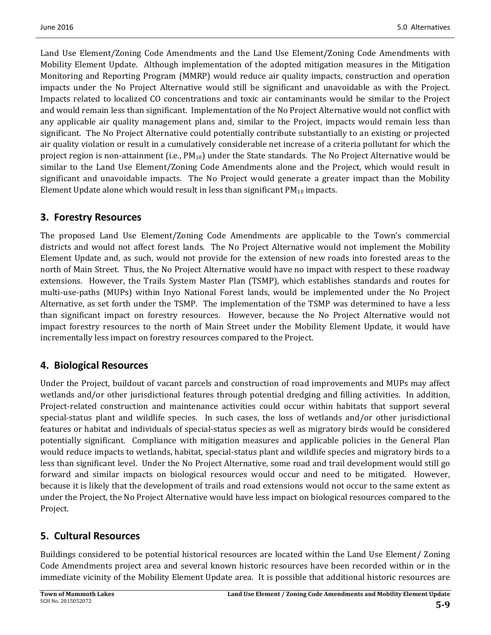Land Use Element/Zoning Code Amendments and the Land Use Element/Zoning Code Amendments with Mobility Element Update. Although implementation of the adopted mitigation measures in the Mitigation Monitoring and Reporting Program (MMRP) would reduce air quality impacts, construction and operation impacts under the No Project Alternative would still be significant and unavoidable as with the Project. Impacts related to localized CO concentrations and toxic air contaminants would be similar to the Project and would remain less than significant. Implementation of the No Project Alternative would not conflict with any applicable air quality management plans and, similar to the Project, impacts would remain less than significant. The No Project Alternative could potentially contribute substantially to an existing or projected air quality violation or result in a cumulatively considerable net increase of a criteria pollutant for which the project region is non-attainment (i.e.,  $PM_{10}$ ) under the State standards. The No Project Alternative would be similar to the Land Use Element/Zoning Code Amendments alone and the Project, which would result in significant and unavoidable impacts. The No Project would generate a greater impact than the Mobility Element Update alone which would result in less than significant  $PM_{10}$  impacts.

## **3. Forestry Resources**

The proposed Land Use Element/Zoning Code Amendments are applicable to the Town's commercial districts and would not affect forest lands. The No Project Alternative would not implement the Mobility Element Update and, as such, would not provide for the extension of new roads into forested areas to the north of Main Street. Thus, the No Project Alternative would have no impact with respect to these roadway extensions. However, the Trails System Master Plan (TSMP), which establishes standards and routes for multi-use-paths (MUPs) within Inyo National Forest lands, would be implemented under the No Project Alternative, as set forth under the TSMP. The implementation of the TSMP was determined to have a less than significant impact on forestry resources. However, because the No Project Alternative would not impact forestry resources to the north of Main Street under the Mobility Element Update, it would have incrementally less impact on forestry resources compared to the Project.

## **4. Biological Resources**

Under the Project, buildout of vacant parcels and construction of road improvements and MUPs may affect wetlands and/or other jurisdictional features through potential dredging and filling activities. In addition, Project-related construction and maintenance activities could occur within habitats that support several special-status plant and wildlife species. In such cases, the loss of wetlands and/or other jurisdictional features or habitat and individuals of special-status species as well as migratory birds would be considered potentially significant. Compliance with mitigation measures and applicable policies in the General Plan would reduce impacts to wetlands, habitat, special-status plant and wildlife species and migratory birds to a less than significant level. Under the No Project Alternative, some road and trail development would still go forward and similar impacts on biological resources would occur and need to be mitigated. However, because it is likely that the development of trails and road extensions would not occur to the same extent as under the Project, the No Project Alternative would have less impact on biological resources compared to the Project. 

## **5. Cultural Resources**

Buildings considered to be potential historical resources are located within the Land Use Element/ Zoning Code Amendments project area and several known historic resources have been recorded within or in the immediate vicinity of the Mobility Element Update area. It is possible that additional historic resources are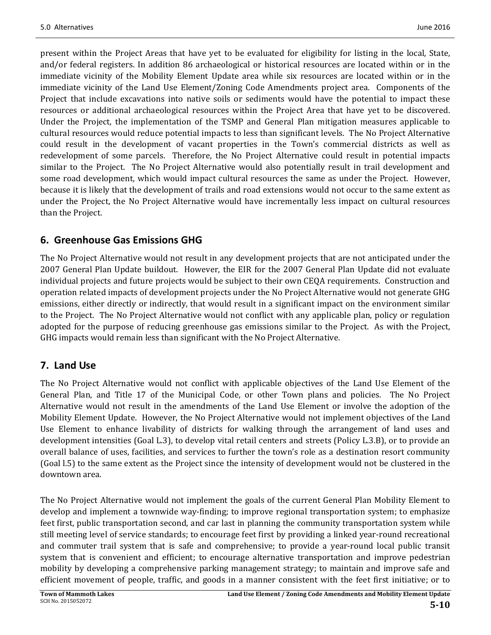present within the Project Areas that have yet to be evaluated for eligibility for listing in the local, State, and/or federal registers. In addition 86 archaeological or historical resources are located within or in the immediate vicinity of the Mobility Element Update area while six resources are located within or in the immediate vicinity of the Land Use Element/Zoning Code Amendments project area. Components of the Project that include excavations into native soils or sediments would have the potential to impact these resources or additional archaeological resources within the Project Area that have yet to be discovered. Under the Project, the implementation of the TSMP and General Plan mitigation measures applicable to cultural resources would reduce potential impacts to less than significant levels. The No Project Alternative could result in the development of vacant properties in the Town's commercial districts as well as redevelopment of some parcels. Therefore, the No Project Alternative could result in potential impacts similar to the Project. The No Project Alternative would also potentially result in trail development and some road development, which would impact cultural resources the same as under the Project. However, because it is likely that the development of trails and road extensions would not occur to the same extent as under the Project, the No Project Alternative would have incrementally less impact on cultural resources than the Project.

## **6. Greenhouse Gas Emissions GHG**

The No Project Alternative would not result in any development projects that are not anticipated under the 2007 General Plan Update buildout. However, the EIR for the 2007 General Plan Update did not evaluate individual projects and future projects would be subject to their own CEQA requirements. Construction and operation related impacts of development projects under the No Project Alternative would not generate GHG emissions, either directly or indirectly, that would result in a significant impact on the environment similar to the Project. The No Project Alternative would not conflict with any applicable plan, policy or regulation adopted for the purpose of reducing greenhouse gas emissions similar to the Project. As with the Project, GHG impacts would remain less than significant with the No Project Alternative.

## **7. Land Use**

The No Project Alternative would not conflict with applicable objectives of the Land Use Element of the General Plan, and Title 17 of the Municipal Code, or other Town plans and policies. The No Project Alternative would not result in the amendments of the Land Use Element or involve the adoption of the Mobility Element Update. However, the No Project Alternative would not implement objectives of the Land Use Element to enhance livability of districts for walking through the arrangement of land uses and development intensities (Goal L.3), to develop vital retail centers and streets (Policy L.3.B), or to provide an overall balance of uses, facilities, and services to further the town's role as a destination resort community (Goal l.5) to the same extent as the Project since the intensity of development would not be clustered in the downtown area.

The No Project Alternative would not implement the goals of the current General Plan Mobility Element to develop and implement a townwide way-finding; to improve regional transportation system; to emphasize feet first, public transportation second, and car last in planning the community transportation system while still meeting level of service standards; to encourage feet first by providing a linked year-round recreational and commuter trail system that is safe and comprehensive; to provide a year-round local public transit system that is convenient and efficient; to encourage alternative transportation and improve pedestrian mobility by developing a comprehensive parking management strategy; to maintain and improve safe and efficient movement of people, traffic, and goods in a manner consistent with the feet first initiative; or to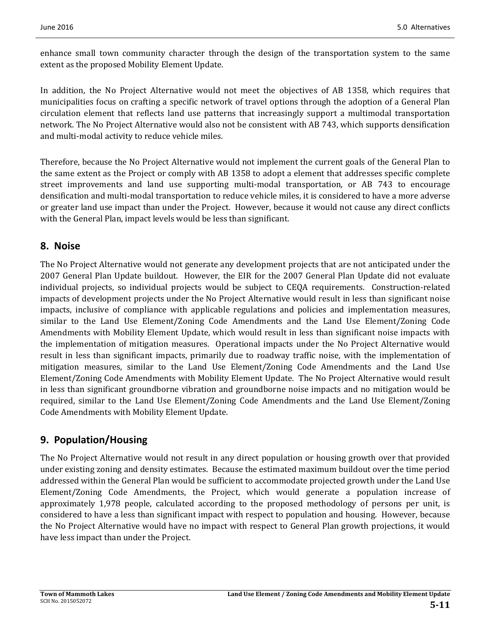enhance small town community character through the design of the transportation system to the same extent as the proposed Mobility Element Update.

In addition, the No Project Alternative would not meet the objectives of AB 1358, which requires that municipalities focus on crafting a specific network of travel options through the adoption of a General Plan circulation element that reflects land use patterns that increasingly support a multimodal transportation network. The No Project Alternative would also not be consistent with AB 743, which supports densification and multi-modal activity to reduce vehicle miles.

Therefore, because the No Project Alternative would not implement the current goals of the General Plan to the same extent as the Project or comply with AB 1358 to adopt a element that addresses specific complete street improvements and land use supporting multi-modal transportation, or AB 743 to encourage densification and multi-modal transportation to reduce vehicle miles, it is considered to have a more adverse or greater land use impact than under the Project. However, because it would not cause any direct conflicts with the General Plan, impact levels would be less than significant.

## **8. Noise**

The No Project Alternative would not generate any development projects that are not anticipated under the 2007 General Plan Update buildout. However, the EIR for the 2007 General Plan Update did not evaluate individual projects, so individual projects would be subject to CEOA requirements. Construction-related impacts of development projects under the No Project Alternative would result in less than significant noise impacts, inclusive of compliance with applicable regulations and policies and implementation measures, similar to the Land Use Element/Zoning Code Amendments and the Land Use Element/Zoning Code Amendments with Mobility Element Update, which would result in less than significant noise impacts with the implementation of mitigation measures. Operational impacts under the No Project Alternative would result in less than significant impacts, primarily due to roadway traffic noise, with the implementation of mitigation measures, similar to the Land Use Element/Zoning Code Amendments and the Land Use Element/Zoning Code Amendments with Mobility Element Update. The No Project Alternative would result in less than significant groundborne vibration and groundborne noise impacts and no mitigation would be required, similar to the Land Use Element/Zoning Code Amendments and the Land Use Element/Zoning Code Amendments with Mobility Element Update.

## **9. Population/Housing**

The No Project Alternative would not result in any direct population or housing growth over that provided under existing zoning and density estimates. Because the estimated maximum buildout over the time period addressed within the General Plan would be sufficient to accommodate projected growth under the Land Use Element/Zoning Code Amendments, the Project, which would generate a population increase of approximately 1,978 people, calculated according to the proposed methodology of persons per unit, is considered to have a less than significant impact with respect to population and housing. However, because the No Project Alternative would have no impact with respect to General Plan growth projections, it would have less impact than under the Project.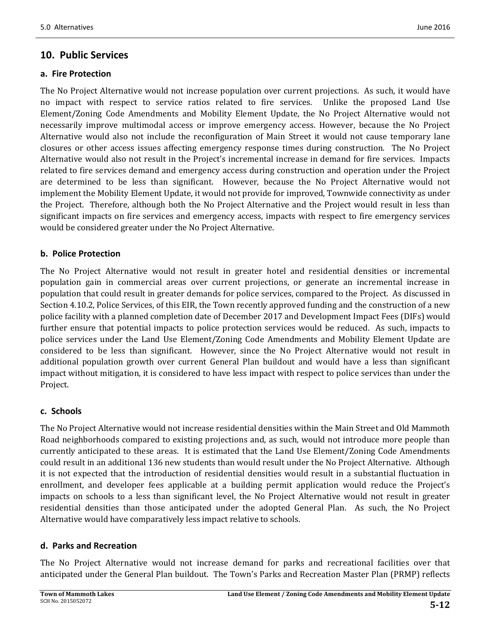### **10. Public Services**

#### **a. Fire Protection**

5.0 Alternatives June 2016

The No Project Alternative would not increase population over current projections. As such, it would have no impact with respect to service ratios related to fire services. Unlike the proposed Land Use Element/Zoning Code Amendments and Mobility Element Update, the No Project Alternative would not necessarily improve multimodal access or improve emergency access. However, because the No Project Alternative would also not include the reconfiguration of Main Street it would not cause temporary lane closures or other access issues affecting emergency response times during construction. The No Project Alternative would also not result in the Project's incremental increase in demand for fire services. Impacts related to fire services demand and emergency access during construction and operation under the Project are determined to be less than significant. However, because the No Project Alternative would not implement the Mobility Element Update, it would not provide for improved, Townwide connectivity as under the Project. Therefore, although both the No Project Alternative and the Project would result in less than significant impacts on fire services and emergency access, impacts with respect to fire emergency services would be considered greater under the No Project Alternative.

### **b. Police Protection**

The No Project Alternative would not result in greater hotel and residential densities or incremental population gain in commercial areas over current projections, or generate an incremental increase in population that could result in greater demands for police services, compared to the Project. As discussed in Section 4.10.2, Police Services, of this EIR, the Town recently approved funding and the construction of a new police facility with a planned completion date of December 2017 and Development Impact Fees (DIFs) would further ensure that potential impacts to police protection services would be reduced. As such, impacts to police services under the Land Use Element/Zoning Code Amendments and Mobility Element Update are considered to be less than significant. However, since the No Project Alternative would not result in additional population growth over current General Plan buildout and would have a less than significant impact without mitigation, it is considered to have less impact with respect to police services than under the Project. 

### **c. Schools**

The No Project Alternative would not increase residential densities within the Main Street and Old Mammoth Road neighborhoods compared to existing projections and, as such, would not introduce more people than currently anticipated to these areas. It is estimated that the Land Use Element/Zoning Code Amendments could result in an additional 136 new students than would result under the No Project Alternative. Although it is not expected that the introduction of residential densities would result in a substantial fluctuation in enrollment, and developer fees applicable at a building permit application would reduce the Project's impacts on schools to a less than significant level, the No Project Alternative would not result in greater residential densities than those anticipated under the adopted General Plan. As such, the No Project Alternative would have comparatively less impact relative to schools.

#### **d. Parks and Recreation**

The No Project Alternative would not increase demand for parks and recreational facilities over that anticipated under the General Plan buildout. The Town's Parks and Recreation Master Plan (PRMP) reflects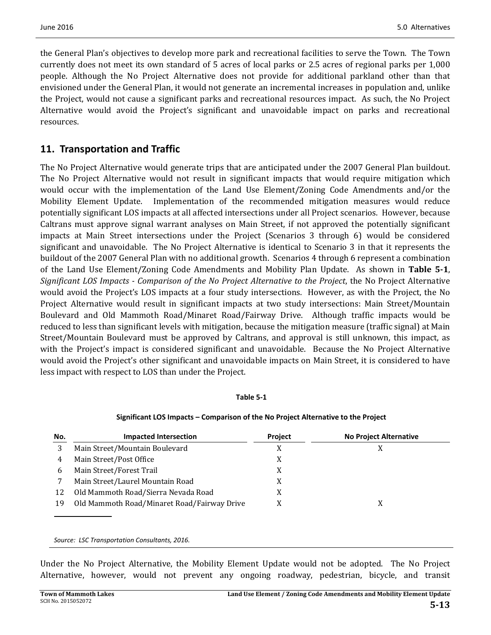the General Plan's objectives to develop more park and recreational facilities to serve the Town. The Town currently does not meet its own standard of 5 acres of local parks or 2.5 acres of regional parks per 1,000 people. Although the No Project Alternative does not provide for additional parkland other than that envisioned under the General Plan, it would not generate an incremental increases in population and, unlike the Project, would not cause a significant parks and recreational resources impact. As such, the No Project Alternative would avoid the Project's significant and unavoidable impact on parks and recreational resources. 

### **11. Transportation and Traffic**

The No Project Alternative would generate trips that are anticipated under the 2007 General Plan buildout. The No Project Alternative would not result in significant impacts that would require mitigation which would occur with the implementation of the Land Use Element/Zoning Code Amendments and/or the Mobility Element Update. Implementation of the recommended mitigation measures would reduce potentially significant LOS impacts at all affected intersections under all Project scenarios. However, because Caltrans must approve signal warrant analyses on Main Street, if not approved the potentially significant impacts at Main Street intersections under the Project (Scenarios 3 through 6) would be considered significant and unavoidable. The No Project Alternative is identical to Scenario 3 in that it represents the buildout of the 2007 General Plan with no additional growth. Scenarios 4 through 6 represent a combination of the Land Use Element/Zoning Code Amendments and Mobility Plan Update. As shown in Table 5-1, *Significant LOS Impacts ‐ Comparison of the No Project Alternative to the Project*, the No Project Alternative would avoid the Project's LOS impacts at a four study intersections. However, as with the Project, the No Project Alternative would result in significant impacts at two study intersections: Main Street/Mountain Boulevard and Old Mammoth Road/Minaret Road/Fairway Drive. Although traffic impacts would be reduced to less than significant levels with mitigation, because the mitigation measure (traffic signal) at Main Street/Mountain Boulevard must be approved by Caltrans, and approval is still unknown, this impact, as with the Project's impact is considered significant and unavoidable. Because the No Project Alternative would avoid the Project's other significant and unavoidable impacts on Main Street, it is considered to have less impact with respect to LOS than under the Project.

#### **Table 5‐1**

| Significant LOS Impacts – Comparison of the No Project Alternative to the Project |  |
|-----------------------------------------------------------------------------------|--|
|                                                                                   |  |

| No. | <b>Impacted Intersection</b>                | <b>Project</b> | <b>No Project Alternative</b> |
|-----|---------------------------------------------|----------------|-------------------------------|
|     | Main Street/Mountain Boulevard              |                |                               |
| 4   | Main Street/Post Office                     | X              |                               |
| b   | Main Street/Forest Trail                    | X              |                               |
|     | Main Street/Laurel Mountain Road            | X              |                               |
| 12  | Old Mammoth Road/Sierra Nevada Road         |                |                               |
| 19  | Old Mammoth Road/Minaret Road/Fairway Drive |                |                               |
|     |                                             |                |                               |

*Source: LSC Transportation Consultants, 2016.*

Under the No Project Alternative, the Mobility Element Update would not be adopted. The No Project Alternative, however, would not prevent any ongoing roadway, pedestrian, bicycle, and transit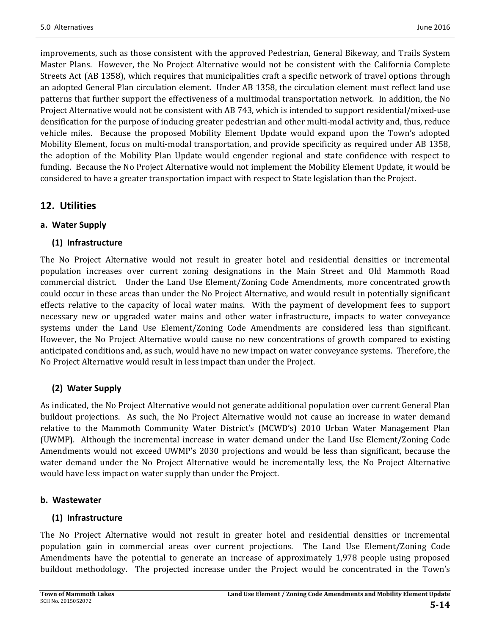improvements, such as those consistent with the approved Pedestrian, General Bikeway, and Trails System Master Plans. However, the No Project Alternative would not be consistent with the California Complete Streets Act (AB 1358), which requires that municipalities craft a specific network of travel options through an adopted General Plan circulation element. Under AB 1358, the circulation element must reflect land use patterns that further support the effectiveness of a multimodal transportation network. In addition, the No Project Alternative would not be consistent with AB 743, which is intended to support residential/mixed-use densification for the purpose of inducing greater pedestrian and other multi-modal activity and, thus, reduce vehicle miles. Because the proposed Mobility Element Update would expand upon the Town's adopted Mobility Element, focus on multi-modal transportation, and provide specificity as required under AB 1358, the adoption of the Mobility Plan Update would engender regional and state confidence with respect to funding. Because the No Project Alternative would not implement the Mobility Element Update, it would be considered to have a greater transportation impact with respect to State legislation than the Project.

## **12. Utilities**

### **a. Water Supply**

### **(1) Infrastructure**

The No Project Alternative would not result in greater hotel and residential densities or incremental population increases over current zoning designations in the Main Street and Old Mammoth Road commercial district. Under the Land Use Element/Zoning Code Amendments, more concentrated growth could occur in these areas than under the No Project Alternative, and would result in potentially significant effects relative to the capacity of local water mains. With the payment of development fees to support necessary new or upgraded water mains and other water infrastructure, impacts to water conveyance systems under the Land Use Element/Zoning Code Amendments are considered less than significant. However, the No Project Alternative would cause no new concentrations of growth compared to existing anticipated conditions and, as such, would have no new impact on water conveyance systems. Therefore, the No Project Alternative would result in less impact than under the Project.

### **(2) Water Supply**

As indicated, the No Project Alternative would not generate additional population over current General Plan buildout projections. As such, the No Project Alternative would not cause an increase in water demand relative to the Mammoth Community Water District's (MCWD's) 2010 Urban Water Management Plan (UWMP). Although the incremental increase in water demand under the Land Use Element/Zoning Code Amendments would not exceed UWMP's 2030 projections and would be less than significant, because the water demand under the No Project Alternative would be incrementally less, the No Project Alternative would have less impact on water supply than under the Project.

### **b. Wastewater**

### **(1) Infrastructure**

The No Project Alternative would not result in greater hotel and residential densities or incremental population gain in commercial areas over current projections. The Land Use Element/Zoning Code Amendments have the potential to generate an increase of approximately 1,978 people using proposed buildout methodology. The projected increase under the Project would be concentrated in the Town's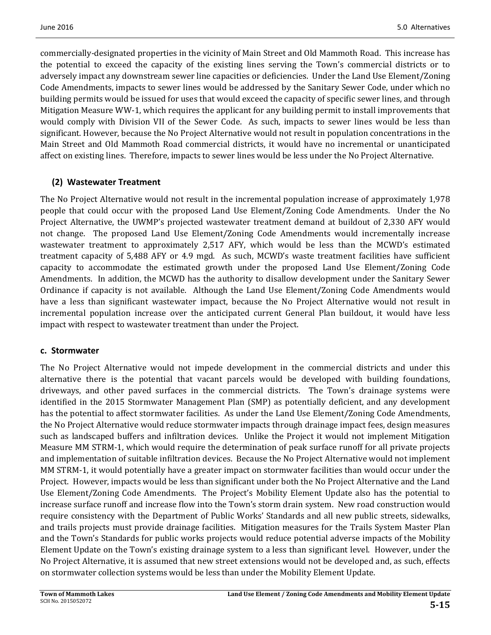commercially-designated properties in the vicinity of Main Street and Old Mammoth Road. This increase has the potential to exceed the capacity of the existing lines serving the Town's commercial districts or to adversely impact any downstream sewer line capacities or deficiencies. Under the Land Use Element/Zoning Code Amendments, impacts to sewer lines would be addressed by the Sanitary Sewer Code, under which no building permits would be issued for uses that would exceed the capacity of specific sewer lines, and through Mitigation Measure WW-1, which requires the applicant for any building permit to install improvements that would comply with Division VII of the Sewer Code. As such, impacts to sewer lines would be less than significant. However, because the No Project Alternative would not result in population concentrations in the Main Street and Old Mammoth Road commercial districts, it would have no incremental or unanticipated affect on existing lines. Therefore, impacts to sewer lines would be less under the No Project Alternative.

### **(2) Wastewater Treatment**

The No Project Alternative would not result in the incremental population increase of approximately 1,978 people that could occur with the proposed Land Use Element/Zoning Code Amendments. Under the No Project Alternative, the UWMP's projected wastewater treatment demand at buildout of 2,330 AFY would not change. The proposed Land Use Element/Zoning Code Amendments would incrementally increase wastewater treatment to approximately 2,517 AFY, which would be less than the MCWD's estimated treatment capacity of 5,488 AFY or 4.9 mgd. As such, MCWD's waste treatment facilities have sufficient capacity to accommodate the estimated growth under the proposed Land Use Element/Zoning Code Amendments. In addition, the MCWD has the authority to disallow development under the Sanitary Sewer Ordinance if capacity is not available. Although the Land Use Element/Zoning Code Amendments would have a less than significant wastewater impact, because the No Project Alternative would not result in incremental population increase over the anticipated current General Plan buildout, it would have less impact with respect to wastewater treatment than under the Project.

#### **c. Stormwater**

The No Project Alternative would not impede development in the commercial districts and under this alternative there is the potential that vacant parcels would be developed with building foundations, driveways, and other paved surfaces in the commercial districts. The Town's drainage systems were identified in the 2015 Stormwater Management Plan (SMP) as potentially deficient, and any development has the potential to affect stormwater facilities. As under the Land Use Element/Zoning Code Amendments, the No Project Alternative would reduce stormwater impacts through drainage impact fees, design measures such as landscaped buffers and infiltration devices. Unlike the Project it would not implement Mitigation Measure MM STRM-1, which would require the determination of peak surface runoff for all private projects and implementation of suitable infiltration devices. Because the No Project Alternative would not implement MM STRM-1, it would potentially have a greater impact on stormwater facilities than would occur under the Project. However, impacts would be less than significant under both the No Project Alternative and the Land Use Element/Zoning Code Amendments. The Project's Mobility Element Update also has the potential to increase surface runoff and increase flow into the Town's storm drain system. New road construction would require consistency with the Department of Public Works' Standards and all new public streets, sidewalks, and trails projects must provide drainage facilities. Mitigation measures for the Trails System Master Plan and the Town's Standards for public works projects would reduce potential adverse impacts of the Mobility Element Update on the Town's existing drainage system to a less than significant level. However, under the No Project Alternative, it is assumed that new street extensions would not be developed and, as such, effects on stormwater collection systems would be less than under the Mobility Element Update.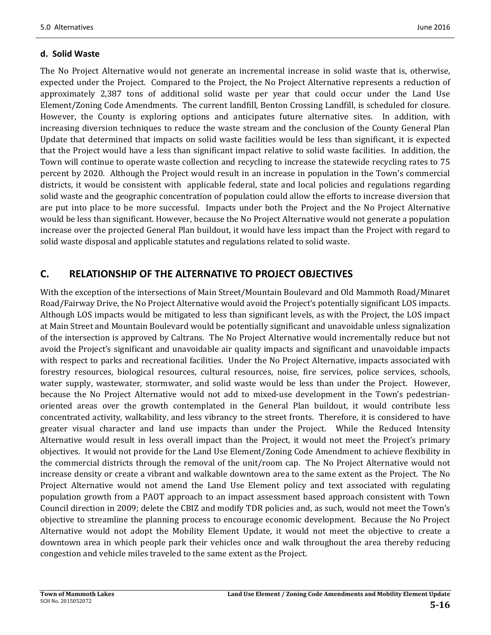#### **d. Solid Waste**

The No Project Alternative would not generate an incremental increase in solid waste that is, otherwise, expected under the Project. Compared to the Project, the No Project Alternative represents a reduction of approximately 2,387 tons of additional solid waste per year that could occur under the Land Use Element/Zoning Code Amendments. The current landfill, Benton Crossing Landfill, is scheduled for closure. However, the County is exploring options and anticipates future alternative sites. In addition, with increasing diversion techniques to reduce the waste stream and the conclusion of the County General Plan Update that determined that impacts on solid waste facilities would be less than significant, it is expected that the Project would have a less than significant impact relative to solid waste facilities. In addition, the Town will continue to operate waste collection and recycling to increase the statewide recycling rates to 75 percent by 2020. Although the Project would result in an increase in population in the Town's commercial districts, it would be consistent with applicable federal, state and local policies and regulations regarding solid waste and the geographic concentration of population could allow the efforts to increase diversion that are put into place to be more successful. Impacts under both the Project and the No Project Alternative would be less than significant. However, because the No Project Alternative would not generate a population increase over the projected General Plan buildout, it would have less impact than the Project with regard to solid waste disposal and applicable statutes and regulations related to solid waste.

## **C. RELATIONSHIP OF THE ALTERNATIVE TO PROJECT OBJECTIVES**

With the exception of the intersections of Main Street/Mountain Boulevard and Old Mammoth Road/Minaret Road/Fairway Drive, the No Project Alternative would avoid the Project's potentially significant LOS impacts. Although LOS impacts would be mitigated to less than significant levels, as with the Project, the LOS impact at Main Street and Mountain Boulevard would be potentially significant and unavoidable unless signalization of the intersection is approved by Caltrans. The No Project Alternative would incrementally reduce but not avoid the Project's significant and unavoidable air quality impacts and significant and unavoidable impacts with respect to parks and recreational facilities. Under the No Project Alternative, impacts associated with forestry resources, biological resources, cultural resources, noise, fire services, police services, schools, water supply, wastewater, stormwater, and solid waste would be less than under the Project. However, because the No Project Alternative would not add to mixed-use development in the Town's pedestrianoriented areas over the growth contemplated in the General Plan buildout, it would contribute less concentrated activity, walkability, and less vibrancy to the street fronts. Therefore, it is considered to have greater visual character and land use impacts than under the Project. While the Reduced Intensity Alternative would result in less overall impact than the Project, it would not meet the Project's primary objectives. It would not provide for the Land Use Element/Zoning Code Amendment to achieve flexibility in the commercial districts through the removal of the unit/room cap. The No Project Alternative would not increase density or create a vibrant and walkable downtown area to the same extent as the Project. The No Project Alternative would not amend the Land Use Element policy and text associated with regulating population growth from a PAOT approach to an impact assessment based approach consistent with Town Council direction in 2009; delete the CBIZ and modify TDR policies and, as such, would not meet the Town's objective to streamline the planning process to encourage economic development. Because the No Project Alternative would not adopt the Mobility Element Update, it would not meet the objective to create a downtown area in which people park their vehicles once and walk throughout the area thereby reducing congestion and vehicle miles traveled to the same extent as the Project.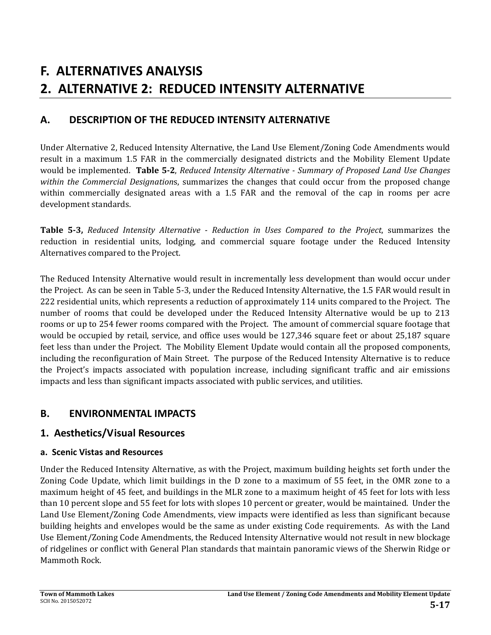# **F. ALTERNATIVES ANALYSIS 2. ALTERNATIVE 2: REDUCED INTENSITY ALTERNATIVE**

## **A. DESCRIPTION OF THE REDUCED INTENSITY ALTERNATIVE**

Under Alternative 2, Reduced Intensity Alternative, the Land Use Element/Zoning Code Amendments would result in a maximum 1.5 FAR in the commercially designated districts and the Mobility Element Update would be implemented. **Table 5‐2**, *Reduced Intensity Alternative ‐ Summary of Proposed Land Use Changes within the Commercial Designations*, summarizes the changes that could occur from the proposed change within commercially designated areas with a 1.5 FAR and the removal of the cap in rooms per acre development standards.

**Table 5‐3,** *Reduced Intensity Alternative ‐ Reduction in Uses Compared to the Project*, summarizes the reduction in residential units, lodging, and commercial square footage under the Reduced Intensity Alternatives compared to the Project.

The Reduced Intensity Alternative would result in incrementally less development than would occur under the Project. As can be seen in Table 5-3, under the Reduced Intensity Alternative, the 1.5 FAR would result in 222 residential units, which represents a reduction of approximately 114 units compared to the Project. The number of rooms that could be developed under the Reduced Intensity Alternative would be up to 213 rooms or up to 254 fewer rooms compared with the Project. The amount of commercial square footage that would be occupied by retail, service, and office uses would be 127,346 square feet or about 25,187 square feet less than under the Project. The Mobility Element Update would contain all the proposed components, including the reconfiguration of Main Street. The purpose of the Reduced Intensity Alternative is to reduce the Project's impacts associated with population increase, including significant traffic and air emissions impacts and less than significant impacts associated with public services, and utilities.

## **B. ENVIRONMENTAL IMPACTS**

## **1. Aesthetics/Visual Resources**

### **a. Scenic Vistas and Resources**

Under the Reduced Intensity Alternative, as with the Project, maximum building heights set forth under the Zoning Code Update, which limit buildings in the D zone to a maximum of 55 feet, in the OMR zone to a maximum height of 45 feet, and buildings in the MLR zone to a maximum height of 45 feet for lots with less than 10 percent slope and 55 feet for lots with slopes 10 percent or greater, would be maintained. Under the Land Use Element/Zoning Code Amendments, view impacts were identified as less than significant because building heights and envelopes would be the same as under existing Code requirements. As with the Land Use Element/Zoning Code Amendments, the Reduced Intensity Alternative would not result in new blockage of ridgelines or conflict with General Plan standards that maintain panoramic views of the Sherwin Ridge or Mammoth Rock.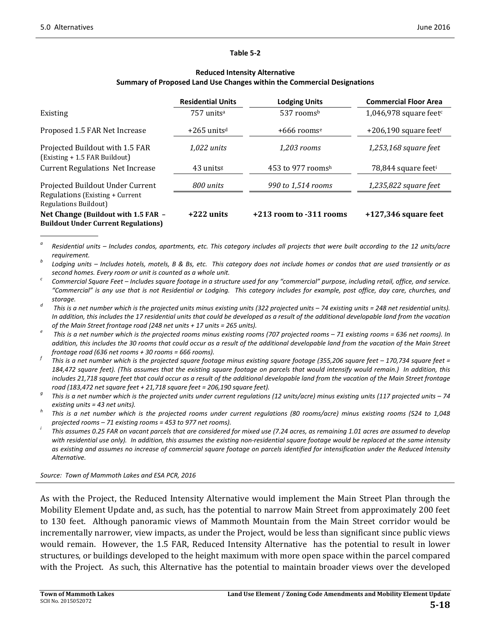#### **Table 5‐2**

#### **Reduced Intensity Alternative Summary of Proposed Land Use Changes within the Commercial Designations**

|                                                                                   | <b>Residential Units</b>  | <b>Lodging Units</b>        | <b>Commercial Floor Area</b>        |
|-----------------------------------------------------------------------------------|---------------------------|-----------------------------|-------------------------------------|
| Existing                                                                          | 757 units <sup>a</sup>    | 537 rooms <sup>b</sup>      | 1,046,978 square feet $c$           |
| Proposed 1.5 FAR Net Increase                                                     | $+265$ units <sup>d</sup> | $+666$ rooms <sup>e</sup>   | $+206,190$ square feet <sup>f</sup> |
| Projected Buildout with 1.5 FAR<br>(Existing + 1.5 FAR Buildout)                  | $1.022$ units             | 1.203 rooms                 | 1,253,168 square feet               |
| <b>Current Regulations Net Increase</b>                                           | 43 units <sup>g</sup>     | 453 to 977 roomsh           | 78,844 square feet <sup>i</sup>     |
| Projected Buildout Under Current                                                  | 800 units                 | 990 to 1,514 rooms          | $1,235,822$ square feet             |
| Regulations (Existing + Current<br>Regulations Buildout)                          |                           |                             |                                     |
| Net Change (Buildout with 1.5 FAR -<br><b>Buildout Under Current Regulations)</b> | $+222$ units              | $+213$ room to $-311$ rooms | $+127,346$ square feet              |

 $\degree$  Residential units – Includes condos, apartments, etc. This category includes all projects that were built according to the 12 units/acre

requirement.<br>Lodging units – Includes hotels, motels, B & Bs, etc. This category does not include homes or condos that are used transiently or as

second homes. Every room or unit is counted as a whole unit.<br>Commercial Square Feet – Includes square footage in a structure used for any "commercial" purpose, including retail, office, and service. "Commercial" is any use that is not Residential or Lodging. This category includes for example, post office, day care, churches, and *storage. <sup>d</sup>*

This is a net number which is the projected units minus existing units (322 projected units - 74 existing units = 248 net residential units). In addition, this includes the 17 residential units that could be developed as a result of the additional developable land from the vacation *of the Main Street frontage road (248 net units <sup>+</sup> <sup>17</sup> units <sup>=</sup> <sup>265</sup> units). <sup>e</sup>*

This is a net number which is the projected rooms minus existing rooms (707 projected rooms - 71 existing rooms = 636 net rooms). In addition, this includes the 30 rooms that could occur as a result of the additional developable land from the vacation of the Main Street

frontage road (636 net rooms + 30 rooms = 666 rooms).<br>This is a net number which is the projected square footage minus existing square footage (355,206 square feet – 170,734 square feet = 184,472 square feet). (This assumes that the existing square footage on parcels that would intensify would remain.) In addition, this includes 21,718 square feet that could occur as a result of the additional developable land from the vacation of the Main Street frontage

road (183,472 net square feet + 21,718 square feet = 206,190 square feet).<br><sup>9</sup> This is a net number which is the projected units under current regulations (12 units/acre) minus existing units (117 projected units – 74

existing units = 43 net units).<br>This is a net number which is the projected rooms under current regulations (80 rooms/acre) minus existing rooms (524 to 1,048

projected rooms – 71 existing rooms = 453 to 977 net rooms).<br>This assumes 0.25 FAR on vacant parcels that are considered for mixed use (7.24 acres, as remaining 1.01 acres are assumed to develop with residential use only). In addition, this assumes the existing non-residential square footage would be replaced at the same intensity as existing and assumes no increase of commercial square footage on parcels identified for intensification under the Reduced Intensity  $Alternate$ *.* 

*Source: Town of Mammoth Lakes and ESA PCR, 2016*

As with the Project, the Reduced Intensity Alternative would implement the Main Street Plan through the Mobility Element Update and, as such, has the potential to narrow Main Street from approximately 200 feet to 130 feet. Although panoramic views of Mammoth Mountain from the Main Street corridor would be incrementally narrower, view impacts, as under the Project, would be less than significant since public views would remain. However, the 1.5 FAR, Reduced Intensity Alternative has the potential to result in lower structures, or buildings developed to the height maximum with more open space within the parcel compared with the Project. As such, this Alternative has the potential to maintain broader views over the developed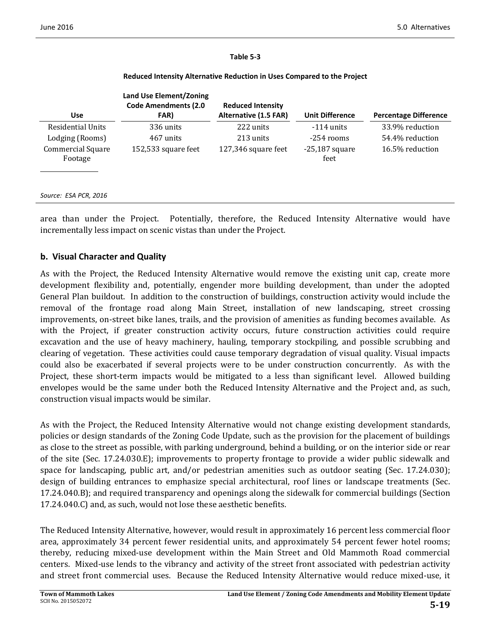#### **Table 5‐3**

| <b>Use</b>                   | <b>Land Use Element/Zoning</b><br><b>Code Amendments (2.0</b><br>FAR) | <b>Reduced Intensity</b><br>Alternative (1.5 FAR) | <b>Unit Difference</b>   | <b>Percentage Difference</b> |
|------------------------------|-----------------------------------------------------------------------|---------------------------------------------------|--------------------------|------------------------------|
| <b>Residential Units</b>     | 336 units                                                             | 222 units                                         | $-114$ units             | 33.9% reduction              |
| Lodging (Rooms)              | 467 units                                                             | 213 units                                         | $-254$ rooms             | 54.4% reduction              |
| Commercial Square<br>Footage | 152,533 square feet                                                   | 127,346 square feet                               | $-25,187$ square<br>feet | 16.5% reduction              |
| Source: ESA PCR, 2016        |                                                                       |                                                   |                          |                              |

#### **Reduced Intensity Alternative Reduction in Uses Compared to the Project**

area than under the Project. Potentially, therefore, the Reduced Intensity Alternative would have incrementally less impact on scenic vistas than under the Project.

#### **b. Visual Character and Quality**

As with the Project, the Reduced Intensity Alternative would remove the existing unit cap, create more development flexibility and, potentially, engender more building development, than under the adopted General Plan buildout. In addition to the construction of buildings, construction activity would include the removal of the frontage road along Main Street, installation of new landscaping, street crossing improvements, on-street bike lanes, trails, and the provision of amenities as funding becomes available. As with the Project, if greater construction activity occurs, future construction activities could require excavation and the use of heavy machinery, hauling, temporary stockpiling, and possible scrubbing and clearing of vegetation. These activities could cause temporary degradation of visual quality. Visual impacts could also be exacerbated if several projects were to be under construction concurrently. As with the Project, these short-term impacts would be mitigated to a less than significant level. Allowed building envelopes would be the same under both the Reduced Intensity Alternative and the Project and, as such, construction visual impacts would be similar.

As with the Project, the Reduced Intensity Alternative would not change existing development standards, policies or design standards of the Zoning Code Update, such as the provision for the placement of buildings as close to the street as possible, with parking underground, behind a building, or on the interior side or rear of the site (Sec. 17.24.030.E); improvements to property frontage to provide a wider public sidewalk and space for landscaping, public art, and/or pedestrian amenities such as outdoor seating (Sec.  $17.24.030$ ); design of building entrances to emphasize special architectural, roof lines or landscape treatments (Sec. 17.24.040.B); and required transparency and openings along the sidewalk for commercial buildings (Section 17.24.040.C) and, as such, would not lose these aesthetic benefits.

The Reduced Intensity Alternative, however, would result in approximately 16 percent less commercial floor area, approximately 34 percent fewer residential units, and approximately 54 percent fewer hotel rooms; thereby, reducing mixed-use development within the Main Street and Old Mammoth Road commercial centers. Mixed-use lends to the vibrancy and activity of the street front associated with pedestrian activity and street front commercial uses. Because the Reduced Intensity Alternative would reduce mixed-use, it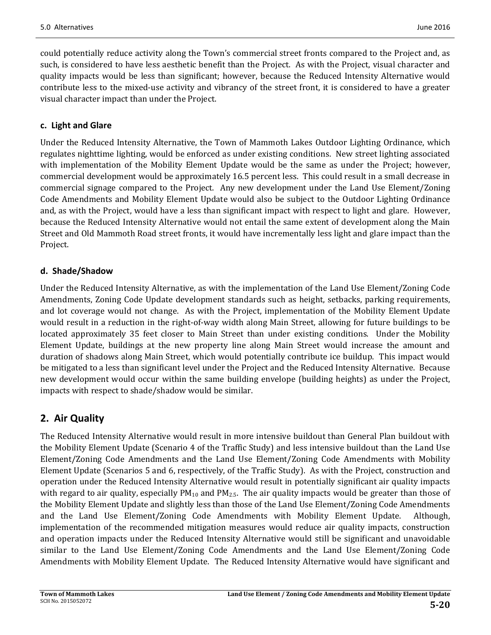could potentially reduce activity along the Town's commercial street fronts compared to the Project and, as such, is considered to have less aesthetic benefit than the Project. As with the Project, visual character and quality impacts would be less than significant; however, because the Reduced Intensity Alternative would contribute less to the mixed-use activity and vibrancy of the street front, it is considered to have a greater visual character impact than under the Project.

### **c. Light and Glare**

Under the Reduced Intensity Alternative, the Town of Mammoth Lakes Outdoor Lighting Ordinance, which regulates nighttime lighting, would be enforced as under existing conditions. New street lighting associated with implementation of the Mobility Element Update would be the same as under the Project; however, commercial development would be approximately 16.5 percent less. This could result in a small decrease in commercial signage compared to the Project. Any new development under the Land Use Element/Zoning Code Amendments and Mobility Element Update would also be subject to the Outdoor Lighting Ordinance and, as with the Project, would have a less than significant impact with respect to light and glare. However, because the Reduced Intensity Alternative would not entail the same extent of development along the Main Street and Old Mammoth Road street fronts, it would have incrementally less light and glare impact than the Project. 

### **d. Shade/Shadow**

Under the Reduced Intensity Alternative, as with the implementation of the Land Use Element/Zoning Code Amendments, Zoning Code Update development standards such as height, setbacks, parking requirements, and lot coverage would not change. As with the Project, implementation of the Mobility Element Update would result in a reduction in the right-of-way width along Main Street, allowing for future buildings to be located approximately 35 feet closer to Main Street than under existing conditions. Under the Mobility Element Update, buildings at the new property line along Main Street would increase the amount and duration of shadows along Main Street, which would potentially contribute ice buildup. This impact would be mitigated to a less than significant level under the Project and the Reduced Intensity Alternative. Because new development would occur within the same building envelope (building heights) as under the Project, impacts with respect to shade/shadow would be similar.

## **2. Air Quality**

The Reduced Intensity Alternative would result in more intensive buildout than General Plan buildout with the Mobility Element Update (Scenario 4 of the Traffic Study) and less intensive buildout than the Land Use Element/Zoning Code Amendments and the Land Use Element/Zoning Code Amendments with Mobility Element Update (Scenarios 5 and 6, respectively, of the Traffic Study). As with the Project, construction and operation under the Reduced Intensity Alternative would result in potentially significant air quality impacts with regard to air quality, especially  $PM_{10}$  and  $PM_{2.5}$ . The air quality impacts would be greater than those of the Mobility Element Update and slightly less than those of the Land Use Element/Zoning Code Amendments and the Land Use Element/Zoning Code Amendments with Mobility Element Update. Although, implementation of the recommended mitigation measures would reduce air quality impacts, construction and operation impacts under the Reduced Intensity Alternative would still be significant and unavoidable similar to the Land Use Element/Zoning Code Amendments and the Land Use Element/Zoning Code Amendments with Mobility Element Update. The Reduced Intensity Alternative would have significant and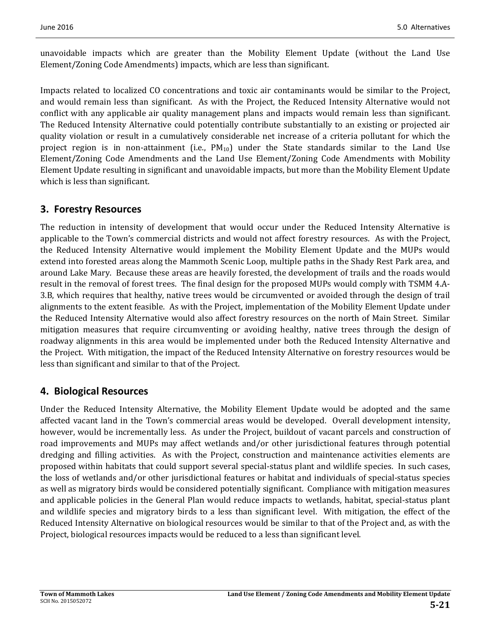unavoidable impacts which are greater than the Mobility Element Update (without the Land Use Element/Zoning Code Amendments) impacts, which are less than significant.

Impacts related to localized CO concentrations and toxic air contaminants would be similar to the Project, and would remain less than significant. As with the Project, the Reduced Intensity Alternative would not conflict with any applicable air quality management plans and impacts would remain less than significant. The Reduced Intensity Alternative could potentially contribute substantially to an existing or projected air quality violation or result in a cumulatively considerable net increase of a criteria pollutant for which the project region is in non-attainment (i.e.,  $PM_{10}$ ) under the State standards similar to the Land Use Element/Zoning Code Amendments and the Land Use Element/Zoning Code Amendments with Mobility Element Update resulting in significant and unavoidable impacts, but more than the Mobility Element Update which is less than significant.

## **3. Forestry Resources**

The reduction in intensity of development that would occur under the Reduced Intensity Alternative is applicable to the Town's commercial districts and would not affect forestry resources. As with the Project, the Reduced Intensity Alternative would implement the Mobility Element Update and the MUPs would extend into forested areas along the Mammoth Scenic Loop, multiple paths in the Shady Rest Park area, and around Lake Mary. Because these areas are heavily forested, the development of trails and the roads would result in the removal of forest trees. The final design for the proposed MUPs would comply with TSMM 4.A-3.B, which requires that healthy, native trees would be circumvented or avoided through the design of trail alignments to the extent feasible. As with the Project, implementation of the Mobility Element Update under the Reduced Intensity Alternative would also affect forestry resources on the north of Main Street. Similar mitigation measures that require circumventing or avoiding healthy, native trees through the design of roadway alignments in this area would be implemented under both the Reduced Intensity Alternative and the Project. With mitigation, the impact of the Reduced Intensity Alternative on forestry resources would be less than significant and similar to that of the Project.

## **4. Biological Resources**

Under the Reduced Intensity Alternative, the Mobility Element Update would be adopted and the same affected vacant land in the Town's commercial areas would be developed. Overall development intensity, however, would be incrementally less. As under the Project, buildout of vacant parcels and construction of road improvements and MUPs may affect wetlands and/or other jurisdictional features through potential dredging and filling activities. As with the Project, construction and maintenance activities elements are proposed within habitats that could support several special-status plant and wildlife species. In such cases, the loss of wetlands and/or other jurisdictional features or habitat and individuals of special-status species as well as migratory birds would be considered potentially significant. Compliance with mitigation measures and applicable policies in the General Plan would reduce impacts to wetlands, habitat, special-status plant and wildlife species and migratory birds to a less than significant level. With mitigation, the effect of the Reduced Intensity Alternative on biological resources would be similar to that of the Project and, as with the Project, biological resources impacts would be reduced to a less than significant level.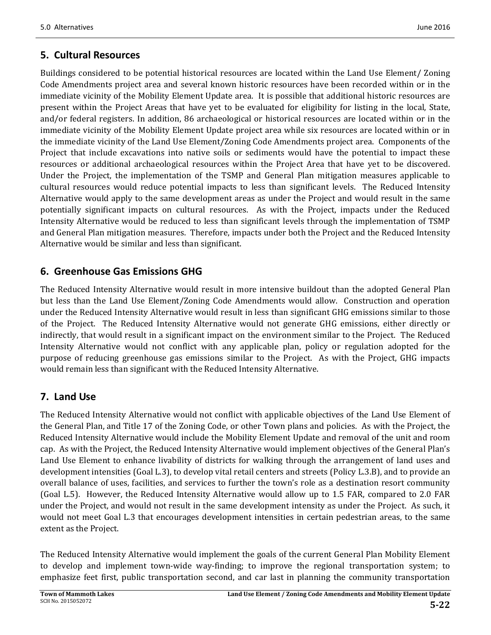## **5. Cultural Resources**

Buildings considered to be potential historical resources are located within the Land Use Element/ Zoning Code Amendments project area and several known historic resources have been recorded within or in the immediate vicinity of the Mobility Element Update area. It is possible that additional historic resources are present within the Project Areas that have yet to be evaluated for eligibility for listing in the local, State, and/or federal registers. In addition, 86 archaeological or historical resources are located within or in the immediate vicinity of the Mobility Element Update project area while six resources are located within or in the immediate vicinity of the Land Use Element/Zoning Code Amendments project area. Components of the Project that include excavations into native soils or sediments would have the potential to impact these resources or additional archaeological resources within the Project Area that have yet to be discovered. Under the Project, the implementation of the TSMP and General Plan mitigation measures applicable to cultural resources would reduce potential impacts to less than significant levels. The Reduced Intensity Alternative would apply to the same development areas as under the Project and would result in the same potentially significant impacts on cultural resources. As with the Project, impacts under the Reduced Intensity Alternative would be reduced to less than significant levels through the implementation of TSMP and General Plan mitigation measures. Therefore, impacts under both the Project and the Reduced Intensity Alternative would be similar and less than significant.

## **6. Greenhouse Gas Emissions GHG**

The Reduced Intensity Alternative would result in more intensive buildout than the adopted General Plan but less than the Land Use Element/Zoning Code Amendments would allow. Construction and operation under the Reduced Intensity Alternative would result in less than significant GHG emissions similar to those of the Project. The Reduced Intensity Alternative would not generate GHG emissions, either directly or indirectly, that would result in a significant impact on the environment similar to the Project. The Reduced Intensity Alternative would not conflict with any applicable plan, policy or regulation adopted for the purpose of reducing greenhouse gas emissions similar to the Project. As with the Project, GHG impacts would remain less than significant with the Reduced Intensity Alternative.

## **7. Land Use**

The Reduced Intensity Alternative would not conflict with applicable objectives of the Land Use Element of the General Plan, and Title 17 of the Zoning Code, or other Town plans and policies. As with the Project, the Reduced Intensity Alternative would include the Mobility Element Update and removal of the unit and room cap. As with the Project, the Reduced Intensity Alternative would implement objectives of the General Plan's Land Use Element to enhance livability of districts for walking through the arrangement of land uses and development intensities (Goal L.3), to develop vital retail centers and streets (Policy L.3.B), and to provide an overall balance of uses, facilities, and services to further the town's role as a destination resort community (Goal L.5). However, the Reduced Intensity Alternative would allow up to 1.5 FAR, compared to 2.0 FAR under the Project, and would not result in the same development intensity as under the Project. As such, it would not meet Goal L.3 that encourages development intensities in certain pedestrian areas, to the same extent as the Project.

The Reduced Intensity Alternative would implement the goals of the current General Plan Mobility Element to develop and implement town-wide way-finding; to improve the regional transportation system; to emphasize feet first, public transportation second, and car last in planning the community transportation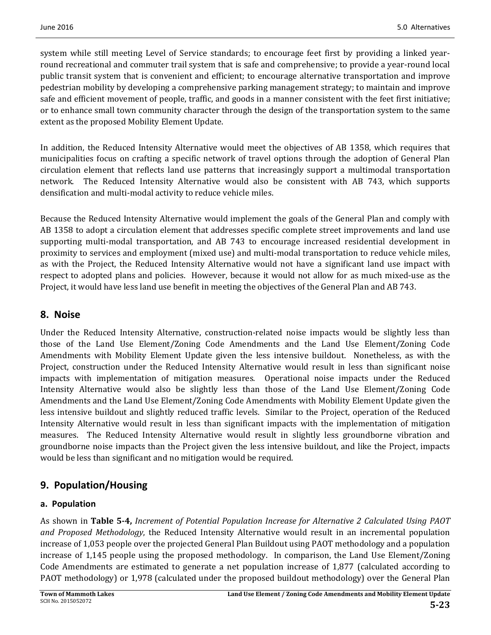system while still meeting Level of Service standards; to encourage feet first by providing a linked yearround recreational and commuter trail system that is safe and comprehensive; to provide a year-round local public transit system that is convenient and efficient; to encourage alternative transportation and improve pedestrian mobility by developing a comprehensive parking management strategy; to maintain and improve safe and efficient movement of people, traffic, and goods in a manner consistent with the feet first initiative; or to enhance small town community character through the design of the transportation system to the same extent as the proposed Mobility Element Update.

In addition, the Reduced Intensity Alternative would meet the objectives of AB 1358, which requires that municipalities focus on crafting a specific network of travel options through the adoption of General Plan circulation element that reflects land use patterns that increasingly support a multimodal transportation network. The Reduced Intensity Alternative would also be consistent with AB 743, which supports densification and multi-modal activity to reduce vehicle miles.

Because the Reduced Intensity Alternative would implement the goals of the General Plan and comply with AB 1358 to adopt a circulation element that addresses specific complete street improvements and land use supporting multi-modal transportation, and AB 743 to encourage increased residential development in proximity to services and employment (mixed use) and multi-modal transportation to reduce vehicle miles, as with the Project, the Reduced Intensity Alternative would not have a significant land use impact with respect to adopted plans and policies. However, because it would not allow for as much mixed-use as the Project, it would have less land use benefit in meeting the objectives of the General Plan and AB 743.

### **8. Noise**

Under the Reduced Intensity Alternative, construction-related noise impacts would be slightly less than those of the Land Use Element/Zoning Code Amendments and the Land Use Element/Zoning Code Amendments with Mobility Element Update given the less intensive buildout. Nonetheless, as with the Project, construction under the Reduced Intensity Alternative would result in less than significant noise impacts with implementation of mitigation measures. Operational noise impacts under the Reduced Intensity Alternative would also be slightly less than those of the Land Use Element/Zoning Code Amendments and the Land Use Element/Zoning Code Amendments with Mobility Element Update given the less intensive buildout and slightly reduced traffic levels. Similar to the Project, operation of the Reduced Intensity Alternative would result in less than significant impacts with the implementation of mitigation measures. The Reduced Intensity Alternative would result in slightly less groundborne vibration and groundborne noise impacts than the Project given the less intensive buildout, and like the Project, impacts would be less than significant and no mitigation would be required.

## **9. Population/Housing**

### **a. Population**

As shown in **Table 5‐4,** *Increment of Potential Population Increase for Alternative 2 Calculated Using PAOT and Proposed Methodology*, the Reduced Intensity Alternative would result in an incremental population increase of 1,053 people over the projected General Plan Buildout using PAOT methodology and a population increase of 1,145 people using the proposed methodology. In comparison, the Land Use Element/Zoning Code Amendments are estimated to generate a net population increase of 1,877 (calculated according to PAOT methodology) or 1,978 (calculated under the proposed buildout methodology) over the General Plan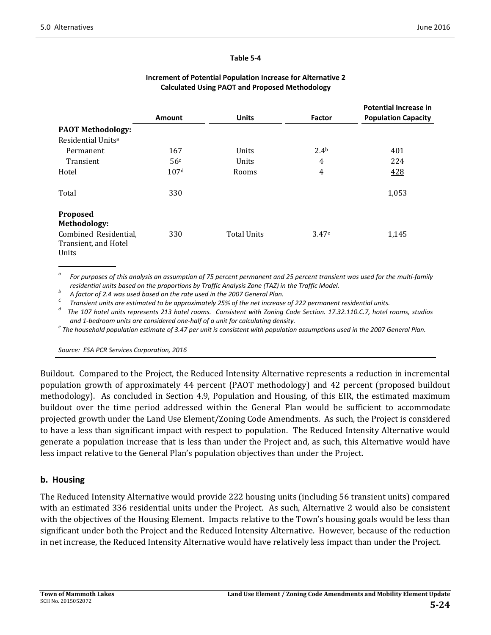#### **Table 5‐4**

|                                                        |                  |                    |                  | <b>Potential Increase in</b> |
|--------------------------------------------------------|------------------|--------------------|------------------|------------------------------|
|                                                        | Amount           | <b>Units</b>       | Factor           | <b>Population Capacity</b>   |
| <b>PAOT Methodology:</b>                               |                  |                    |                  |                              |
| Residential Units <sup>a</sup>                         |                  |                    |                  |                              |
| Permanent                                              | 167              | Units              | 2.4 <sup>b</sup> | 401                          |
| Transient                                              | 56 <sup>c</sup>  | Units              | 4                | 224                          |
| Hotel                                                  | 107 <sup>d</sup> | Rooms              | 4                | 428                          |
| Total                                                  | 330              |                    |                  | 1,053                        |
| Proposed<br>Methodology:                               |                  |                    |                  |                              |
| Combined Residential,<br>Transient, and Hotel<br>Units | 330              | <b>Total Units</b> | 3.47e            | 1,145                        |
|                                                        |                  |                    |                  |                              |

#### **Increment of Potential Population Increase for Alternative 2 Calculated Using PAOT and Proposed Methodology**

<sup>a</sup> For purposes of this analysis an assumption of 75 percent permanent and 25 percent transient was used for the multi-family

residential units based on the proportions by Traffic Analysis Zone (TAZ) in the Traffic Model.<br>
A factor of 2.4 was used based on the rate used in the 2007 General Plan.<br>
<sup>C</sup> Transient units are estimated to be approxima

The 107 hotel units represents 213 hotel rooms. Consistent with Zoning Code Section. 17.32.110.C.7, hotel rooms, studios

and 1-bedroom units are considered one-half of a unit for calculating density.<br>The household population estimate of 3.47 per unit is consistent with population assumptions used in the 2007 General Plan.

*Source: ESA PCR Services Corporation, 2016*

Buildout. Compared to the Project, the Reduced Intensity Alternative represents a reduction in incremental population growth of approximately 44 percent (PAOT methodology) and 42 percent (proposed buildout methodology). As concluded in Section 4.9, Population and Housing, of this EIR, the estimated maximum buildout over the time period addressed within the General Plan would be sufficient to accommodate projected growth under the Land Use Element/Zoning Code Amendments. As such, the Project is considered to have a less than significant impact with respect to population. The Reduced Intensity Alternative would generate a population increase that is less than under the Project and, as such, this Alternative would have less impact relative to the General Plan's population objectives than under the Project.

#### **b. Housing**

The Reduced Intensity Alternative would provide 222 housing units (including 56 transient units) compared with an estimated 336 residential units under the Project. As such, Alternative 2 would also be consistent with the objectives of the Housing Element. Impacts relative to the Town's housing goals would be less than significant under both the Project and the Reduced Intensity Alternative. However, because of the reduction in net increase, the Reduced Intensity Alternative would have relatively less impact than under the Project.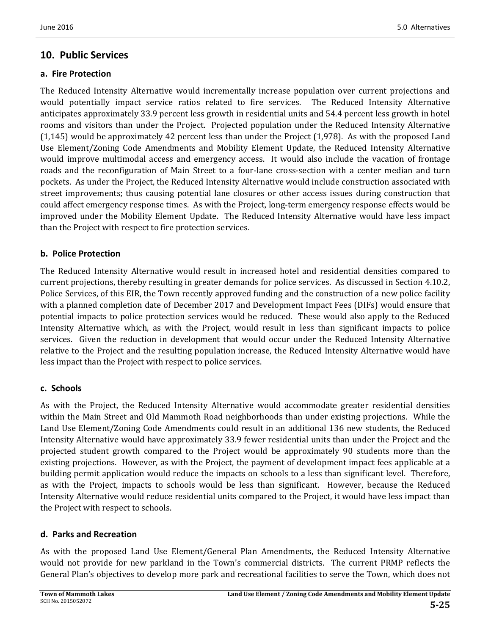## **10. Public Services**

### **a. Fire Protection**

The Reduced Intensity Alternative would incrementally increase population over current projections and would potentially impact service ratios related to fire services. The Reduced Intensity Alternative anticipates approximately 33.9 percent less growth in residential units and 54.4 percent less growth in hotel rooms and visitors than under the Project. Projected population under the Reduced Intensity Alternative  $(1,145)$  would be approximately 42 percent less than under the Project  $(1,978)$ . As with the proposed Land Use Element/Zoning Code Amendments and Mobility Element Update, the Reduced Intensity Alternative would improve multimodal access and emergency access. It would also include the vacation of frontage roads and the reconfiguration of Main Street to a four-lane cross-section with a center median and turn pockets. As under the Project, the Reduced Intensity Alternative would include construction associated with street improvements; thus causing potential lane closures or other access issues during construction that could affect emergency response times. As with the Project, long-term emergency response effects would be improved under the Mobility Element Update. The Reduced Intensity Alternative would have less impact than the Project with respect to fire protection services.

### **b. Police Protection**

The Reduced Intensity Alternative would result in increased hotel and residential densities compared to current projections, thereby resulting in greater demands for police services. As discussed in Section 4.10.2, Police Services, of this EIR, the Town recently approved funding and the construction of a new police facility with a planned completion date of December 2017 and Development Impact Fees (DIFs) would ensure that potential impacts to police protection services would be reduced. These would also apply to the Reduced Intensity Alternative which, as with the Project, would result in less than significant impacts to police services. Given the reduction in development that would occur under the Reduced Intensity Alternative relative to the Project and the resulting population increase, the Reduced Intensity Alternative would have less impact than the Project with respect to police services.

### **c. Schools**

As with the Project, the Reduced Intensity Alternative would accommodate greater residential densities within the Main Street and Old Mammoth Road neighborhoods than under existing projections. While the Land Use Element/Zoning Code Amendments could result in an additional 136 new students, the Reduced Intensity Alternative would have approximately 33.9 fewer residential units than under the Project and the projected student growth compared to the Project would be approximately 90 students more than the existing projections. However, as with the Project, the payment of development impact fees applicable at a building permit application would reduce the impacts on schools to a less than significant level. Therefore, as with the Project, impacts to schools would be less than significant. However, because the Reduced Intensity Alternative would reduce residential units compared to the Project, it would have less impact than the Project with respect to schools.

### **d. Parks and Recreation**

As with the proposed Land Use Element/General Plan Amendments, the Reduced Intensity Alternative would not provide for new parkland in the Town's commercial districts. The current PRMP reflects the General Plan's objectives to develop more park and recreational facilities to serve the Town, which does not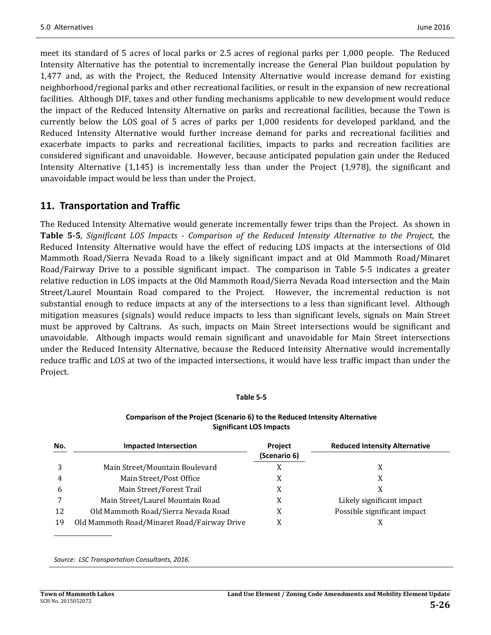meet its standard of 5 acres of local parks or 2.5 acres of regional parks per 1,000 people. The Reduced Intensity Alternative has the potential to incrementally increase the General Plan buildout population by 1,477 and, as with the Project, the Reduced Intensity Alternative would increase demand for existing neighborhood/regional parks and other recreational facilities, or result in the expansion of new recreational facilities. Although DIF, taxes and other funding mechanisms applicable to new development would reduce the impact of the Reduced Intensity Alternative on parks and recreational facilities, because the Town is currently below the LOS goal of 5 acres of parks per 1,000 residents for developed parkland, and the Reduced Intensity Alternative would further increase demand for parks and recreational facilities and exacerbate impacts to parks and recreational facilities, impacts to parks and recreation facilities are considered significant and unavoidable. However, because anticipated population gain under the Reduced Intensity Alternative  $(1,145)$  is incrementally less than under the Project  $(1,978)$ , the significant and unavoidable impact would be less than under the Project.

## **11. Transportation and Traffic**

The Reduced Intensity Alternative would generate incrementally fewer trips than the Project. As shown in **Table 5-5,** Significant LOS Impacts - Comparison of the Reduced Intensity Alternative to the Project, the Reduced Intensity Alternative would have the effect of reducing LOS impacts at the intersections of Old Mammoth Road/Sierra Nevada Road to a likely significant impact and at Old Mammoth Road/Minaret Road/Fairway Drive to a possible significant impact. The comparison in Table 5-5 indicates a greater relative reduction in LOS impacts at the Old Mammoth Road/Sierra Nevada Road intersection and the Main Street/Laurel Mountain Road compared to the Project. However, the incremental reduction is not substantial enough to reduce impacts at any of the intersections to a less than significant level. Although mitigation measures (signals) would reduce impacts to less than significant levels, signals on Main Street must be approved by Caltrans. As such, impacts on Main Street intersections would be significant and unavoidable. Although impacts would remain significant and unavoidable for Main Street intersections under the Reduced Intensity Alternative, because the Reduced Intensity Alternative would incrementally reduce traffic and LOS at two of the impacted intersections, it would have less traffic impact than under the Project. 

#### **Table 5‐5**

#### **Comparison of the Project (Scenario 6) to the Reduced Intensity Alternative Significant LOS Impacts**

| No. | <b>Impacted Intersection</b>                | <b>Project</b> | <b>Reduced Intensity Alternative</b> |
|-----|---------------------------------------------|----------------|--------------------------------------|
|     |                                             | (Scenario 6)   |                                      |
| 3   | Main Street/Mountain Boulevard              |                |                                      |
|     | Main Street/Post Office                     | $\Lambda$      | X                                    |
| b   | Main Street/Forest Trail                    |                |                                      |
|     | Main Street/Laurel Mountain Road            |                | Likely significant impact            |
| 12  | Old Mammoth Road/Sierra Nevada Road         |                | Possible significant impact          |
| 19  | Old Mammoth Road/Minaret Road/Fairway Drive |                |                                      |

*Source: LSC Transportation Consultants, 2016.*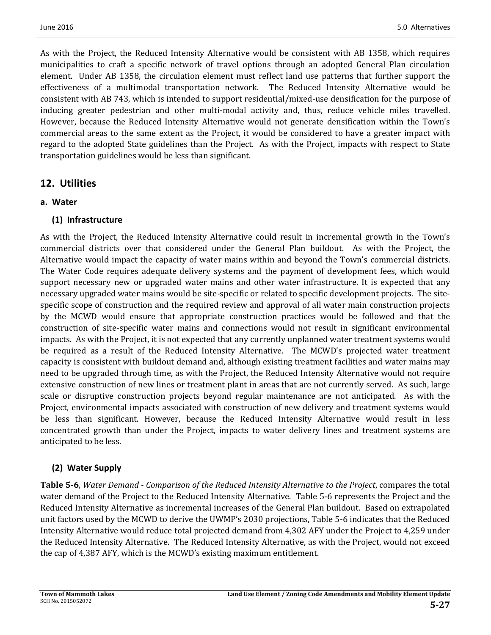As with the Project, the Reduced Intensity Alternative would be consistent with AB 1358, which requires municipalities to craft a specific network of travel options through an adopted General Plan circulation element. Under AB 1358, the circulation element must reflect land use patterns that further support the effectiveness of a multimodal transportation network. The Reduced Intensity Alternative would be consistent with AB 743, which is intended to support residential/mixed-use densification for the purpose of inducing greater pedestrian and other multi-modal activity and, thus, reduce vehicle miles travelled. However, because the Reduced Intensity Alternative would not generate densification within the Town's commercial areas to the same extent as the Project, it would be considered to have a greater impact with regard to the adopted State guidelines than the Project. As with the Project, impacts with respect to State transportation guidelines would be less than significant.

### **12. Utilities**

#### **a. Water**

### **(1) Infrastructure**

As with the Project, the Reduced Intensity Alternative could result in incremental growth in the Town's commercial districts over that considered under the General Plan buildout. As with the Project, the Alternative would impact the capacity of water mains within and beyond the Town's commercial districts. The Water Code requires adequate delivery systems and the payment of development fees, which would support necessary new or upgraded water mains and other water infrastructure. It is expected that any necessary upgraded water mains would be site-specific or related to specific development projects. The sitespecific scope of construction and the required review and approval of all water main construction projects by the MCWD would ensure that appropriate construction practices would be followed and that the construction of site-specific water mains and connections would not result in significant environmental impacts. As with the Project, it is not expected that any currently unplanned water treatment systems would be required as a result of the Reduced Intensity Alternative. The MCWD's projected water treatment capacity is consistent with buildout demand and, although existing treatment facilities and water mains may need to be upgraded through time, as with the Project, the Reduced Intensity Alternative would not require extensive construction of new lines or treatment plant in areas that are not currently served. As such, large scale or disruptive construction projects beyond regular maintenance are not anticipated. As with the Project, environmental impacts associated with construction of new delivery and treatment systems would be less than significant. However, because the Reduced Intensity Alternative would result in less concentrated growth than under the Project, impacts to water delivery lines and treatment systems are anticipated to be less.

### **(2) Water Supply**

**Table 5‐6**, *Water Demand ‐ Comparison of the Reduced Intensity Alternative to the Project*, compares the total water demand of the Project to the Reduced Intensity Alternative. Table 5-6 represents the Project and the Reduced Intensity Alternative as incremental increases of the General Plan buildout. Based on extrapolated unit factors used by the MCWD to derive the UWMP's 2030 projections, Table 5-6 indicates that the Reduced Intensity Alternative would reduce total projected demand from 4,302 AFY under the Project to 4,259 under the Reduced Intensity Alternative. The Reduced Intensity Alternative, as with the Project, would not exceed the cap of 4,387 AFY, which is the MCWD's existing maximum entitlement.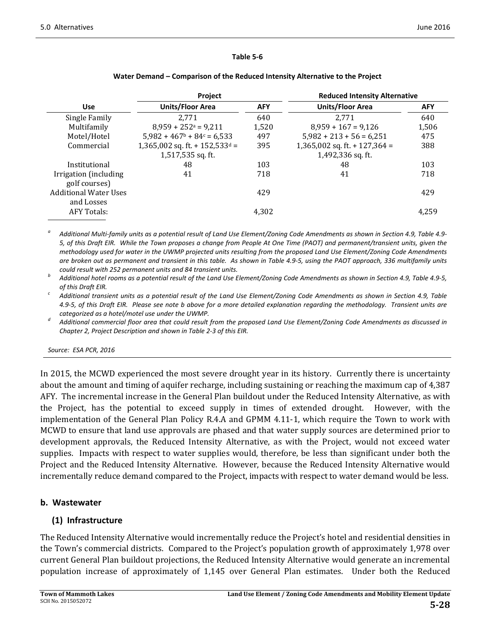#### **Table 5‐6**

| <b>AFY</b> |
|------------|
| 640        |
| 1,506      |
| 475        |
| 388        |
|            |
| 103        |
| 718        |
|            |
| 429        |
|            |
| 4.259      |
|            |

#### **Water Demand – Comparison of the Reduced Intensity Alternative to the Project**

Additional Multi-family units as a potential result of Land Use Element/Zoning Code Amendments as shown in Section 4.9, Table 4.9-5, of this Draft EIR. While the Town proposes a change from People At One Time (PAOT) and permanent/transient units, given the methodology used for water in the UWMP projected units resulting from the proposed Land Use Element/Zoning Code Amendments are broken out as permanent and transient in this table. As shown in Table 4.9-5, using the PAOT approach, 336 multifamily units

could result with 252 permanent units and 84 transient units.<br>Additional hotel rooms as a potential result of the Land Use Element/Zoning Code Amendments as shown in Section 4.9, Table 4.9-5,

of this Draft EIR.<br>Additional transient units as a potential result of the Land Use Element/Zoning Code Amendments as shown in Section 4.9, Table 4.9-5, of this Draft EIR. Please see note b above for a more detailed explanation regarding the methodology. Transient units are

categorized as a hotel/motel use under the UWMP.<br>Additional commercial floor area that could result from the proposed Land Use Element/Zoning Code Amendments as discussed in *Chapter 2, Project Description and shown in Table 2‐3 of this EIR.* 

*Source: ESA PCR, 2016*

In 2015, the MCWD experienced the most severe drought year in its history. Currently there is uncertainty about the amount and timing of aquifer recharge, including sustaining or reaching the maximum cap of 4,387 AFY. The incremental increase in the General Plan buildout under the Reduced Intensity Alternative, as with the Project, has the potential to exceed supply in times of extended drought. However, with the implementation of the General Plan Policy R.4.A and GPMM 4.11-1, which require the Town to work with MCWD to ensure that land use approvals are phased and that water supply sources are determined prior to development approvals, the Reduced Intensity Alternative, as with the Project, would not exceed water supplies. Impacts with respect to water supplies would, therefore, be less than significant under both the Project and the Reduced Intensity Alternative. However, because the Reduced Intensity Alternative would incrementally reduce demand compared to the Project, impacts with respect to water demand would be less.

### **b. Wastewater**

### **(1) Infrastructure**

The Reduced Intensity Alternative would incrementally reduce the Project's hotel and residential densities in the Town's commercial districts. Compared to the Project's population growth of approximately 1,978 over current General Plan buildout projections, the Reduced Intensity Alternative would generate an incremental population increase of approximately of 1,145 over General Plan estimates. Under both the Reduced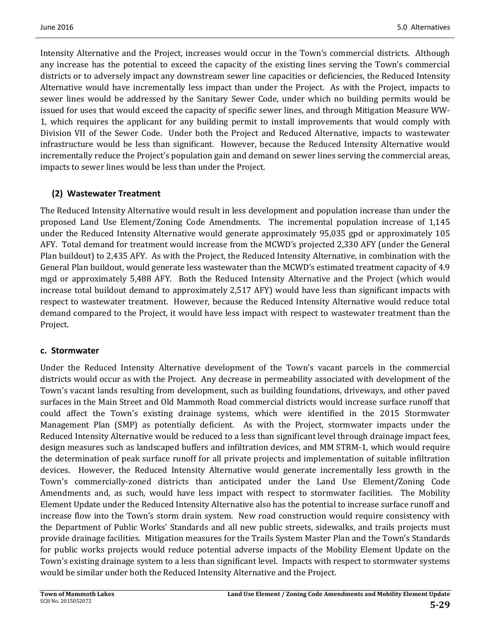Intensity Alternative and the Project, increases would occur in the Town's commercial districts. Although any increase has the potential to exceed the capacity of the existing lines serving the Town's commercial districts or to adversely impact any downstream sewer line capacities or deficiencies, the Reduced Intensity Alternative would have incrementally less impact than under the Project. As with the Project, impacts to sewer lines would be addressed by the Sanitary Sewer Code, under which no building permits would be issued for uses that would exceed the capacity of specific sewer lines, and through Mitigation Measure WW-1, which requires the applicant for any building permit to install improvements that would comply with Division VII of the Sewer Code. Under both the Project and Reduced Alternative, impacts to wastewater infrastructure would be less than significant. However, because the Reduced Intensity Alternative would incrementally reduce the Project's population gain and demand on sewer lines serving the commercial areas, impacts to sewer lines would be less than under the Project.

### **(2) Wastewater Treatment**

The Reduced Intensity Alternative would result in less development and population increase than under the proposed Land Use Element/Zoning Code Amendments. The incremental population increase of 1,145 under the Reduced Intensity Alternative would generate approximately 95,035 gpd or approximately 105 AFY. Total demand for treatment would increase from the MCWD's projected 2,330 AFY (under the General Plan buildout) to 2,435 AFY. As with the Project, the Reduced Intensity Alternative, in combination with the General Plan buildout, would generate less wastewater than the MCWD's estimated treatment capacity of 4.9 mgd or approximately 5,488 AFY. Both the Reduced Intensity Alternative and the Project (which would increase total buildout demand to approximately 2,517 AFY) would have less than significant impacts with respect to wastewater treatment. However, because the Reduced Intensity Alternative would reduce total demand compared to the Project, it would have less impact with respect to wastewater treatment than the Project. 

### **c. Stormwater**

Under the Reduced Intensity Alternative development of the Town's vacant parcels in the commercial districts would occur as with the Project. Any decrease in permeability associated with development of the Town's vacant lands resulting from development, such as building foundations, driveways, and other paved surfaces in the Main Street and Old Mammoth Road commercial districts would increase surface runoff that could affect the Town's existing drainage systems, which were identified in the 2015 Stormwater Management Plan (SMP) as potentially deficient. As with the Project, stormwater impacts under the Reduced Intensity Alternative would be reduced to a less than significant level through drainage impact fees, design measures such as landscaped buffers and infiltration devices, and MM STRM-1, which would require the determination of peak surface runoff for all private projects and implementation of suitable infiltration devices. However, the Reduced Intensity Alternative would generate incrementally less growth in the Town's commercially-zoned districts than anticipated under the Land Use Element/Zoning Code Amendments and, as such, would have less impact with respect to stormwater facilities. The Mobility Element Update under the Reduced Intensity Alternative also has the potential to increase surface runoff and increase flow into the Town's storm drain system. New road construction would require consistency with the Department of Public Works' Standards and all new public streets, sidewalks, and trails projects must provide drainage facilities. Mitigation measures for the Trails System Master Plan and the Town's Standards for public works projects would reduce potential adverse impacts of the Mobility Element Update on the Town's existing drainage system to a less than significant level. Impacts with respect to stormwater systems would be similar under both the Reduced Intensity Alternative and the Project.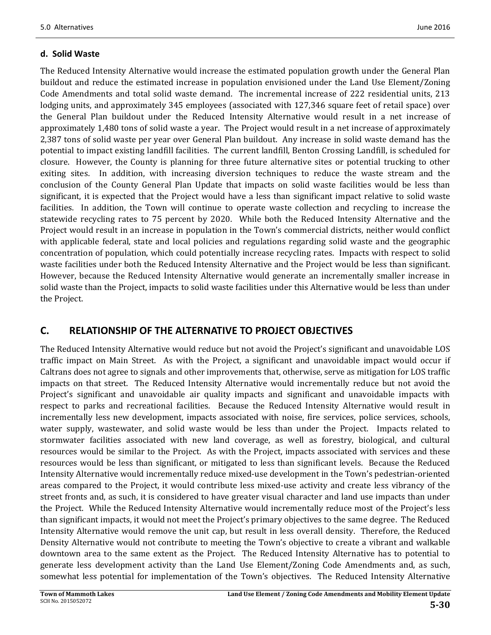### **d. Solid Waste**

The Reduced Intensity Alternative would increase the estimated population growth under the General Plan buildout and reduce the estimated increase in population envisioned under the Land Use Element/Zoning Code Amendments and total solid waste demand. The incremental increase of 222 residential units, 213 lodging units, and approximately 345 employees (associated with 127,346 square feet of retail space) over the General Plan buildout under the Reduced Intensity Alternative would result in a net increase of approximately 1,480 tons of solid waste a year. The Project would result in a net increase of approximately 2,387 tons of solid waste per year over General Plan buildout. Any increase in solid waste demand has the potential to impact existing landfill facilities. The current landfill, Benton Crossing Landfill, is scheduled for closure. However, the County is planning for three future alternative sites or potential trucking to other exiting sites. In addition, with increasing diversion techniques to reduce the waste stream and the conclusion of the County General Plan Update that impacts on solid waste facilities would be less than significant, it is expected that the Project would have a less than significant impact relative to solid waste facilities. In addition, the Town will continue to operate waste collection and recycling to increase the statewide recycling rates to 75 percent by 2020. While both the Reduced Intensity Alternative and the Project would result in an increase in population in the Town's commercial districts, neither would conflict with applicable federal, state and local policies and regulations regarding solid waste and the geographic concentration of population, which could potentially increase recycling rates. Impacts with respect to solid waste facilities under both the Reduced Intensity Alternative and the Project would be less than significant. However, because the Reduced Intensity Alternative would generate an incrementally smaller increase in solid waste than the Project, impacts to solid waste facilities under this Alternative would be less than under the Project.

## **C. RELATIONSHIP OF THE ALTERNATIVE TO PROJECT OBJECTIVES**

The Reduced Intensity Alternative would reduce but not avoid the Project's significant and unavoidable LOS traffic impact on Main Street. As with the Project, a significant and unavoidable impact would occur if Caltrans does not agree to signals and other improvements that, otherwise, serve as mitigation for LOS traffic impacts on that street. The Reduced Intensity Alternative would incrementally reduce but not avoid the Project's significant and unavoidable air quality impacts and significant and unavoidable impacts with respect to parks and recreational facilities. Because the Reduced Intensity Alternative would result in incrementally less new development, impacts associated with noise, fire services, police services, schools, water supply, wastewater, and solid waste would be less than under the Project. Impacts related to stormwater facilities associated with new land coverage, as well as forestry, biological, and cultural resources would be similar to the Project. As with the Project, impacts associated with services and these resources would be less than significant, or mitigated to less than significant levels. Because the Reduced Intensity Alternative would incrementally reduce mixed-use development in the Town's pedestrian-oriented areas compared to the Project, it would contribute less mixed-use activity and create less vibrancy of the street fronts and, as such, it is considered to have greater visual character and land use impacts than under the Project. While the Reduced Intensity Alternative would incrementally reduce most of the Project's less than significant impacts, it would not meet the Project's primary objectives to the same degree. The Reduced Intensity Alternative would remove the unit cap, but result in less overall density. Therefore, the Reduced Density Alternative would not contribute to meeting the Town's objective to create a vibrant and walkable downtown area to the same extent as the Project. The Reduced Intensity Alternative has to potential to generate less development activity than the Land Use Element/Zoning Code Amendments and, as such, somewhat less potential for implementation of the Town's objectives. The Reduced Intensity Alternative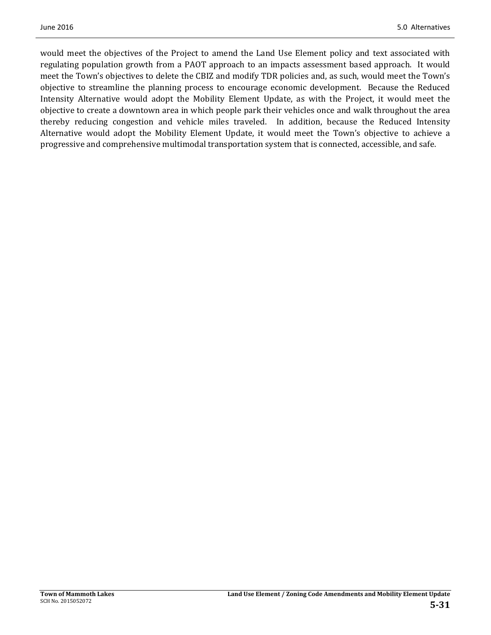would meet the objectives of the Project to amend the Land Use Element policy and text associated with regulating population growth from a PAOT approach to an impacts assessment based approach. It would meet the Town's objectives to delete the CBIZ and modify TDR policies and, as such, would meet the Town's objective to streamline the planning process to encourage economic development. Because the Reduced Intensity Alternative would adopt the Mobility Element Update, as with the Project, it would meet the objective to create a downtown area in which people park their vehicles once and walk throughout the area thereby reducing congestion and vehicle miles traveled. In addition, because the Reduced Intensity Alternative would adopt the Mobility Element Update, it would meet the Town's objective to achieve a progressive and comprehensive multimodal transportation system that is connected, accessible, and safe.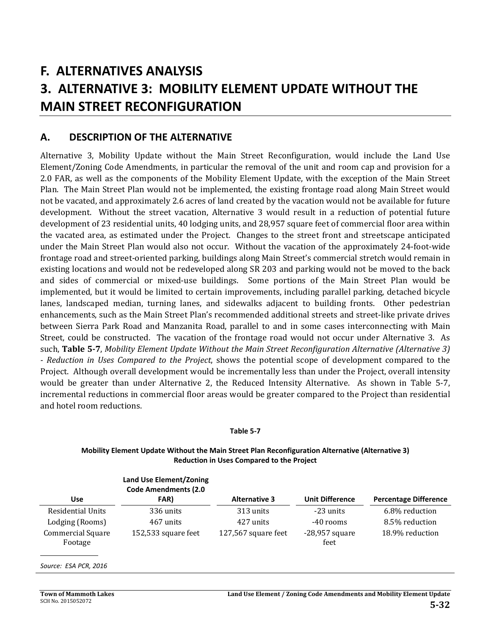# **F. ALTERNATIVES ANALYSIS 3. ALTERNATIVE 3: MOBILITY ELEMENT UPDATE WITHOUT THE MAIN STREET RECONFIGURATION**

### **A. DESCRIPTION OF THE ALTERNATIVE**

Alternative 3, Mobility Update without the Main Street Reconfiguration, would include the Land Use Element/Zoning Code Amendments, in particular the removal of the unit and room cap and provision for a 2.0 FAR, as well as the components of the Mobility Element Update, with the exception of the Main Street Plan. The Main Street Plan would not be implemented, the existing frontage road along Main Street would not be vacated, and approximately 2.6 acres of land created by the vacation would not be available for future development. Without the street vacation, Alternative 3 would result in a reduction of potential future development of 23 residential units, 40 lodging units, and 28,957 square feet of commercial floor area within the vacated area, as estimated under the Project. Changes to the street front and streetscape anticipated under the Main Street Plan would also not occur. Without the vacation of the approximately 24-foot-wide frontage road and street-oriented parking, buildings along Main Street's commercial stretch would remain in existing locations and would not be redeveloped along SR 203 and parking would not be moved to the back and sides of commercial or mixed-use buildings. Some portions of the Main Street Plan would be implemented, but it would be limited to certain improvements, including parallel parking, detached bicycle lanes, landscaped median, turning lanes, and sidewalks adjacent to building fronts. Other pedestrian enhancements, such as the Main Street Plan's recommended additional streets and street-like private drives between Sierra Park Road and Manzanita Road, parallel to and in some cases interconnecting with Main Street, could be constructed. The vacation of the frontage road would not occur under Alternative 3. As such, **Table 5‐7**, *Mobility Element Update Without the Main Street Reconfiguration Alternative (Alternative 3) ‐ Reduction in Uses Compared to the Project*, shows the potential scope of development compared to the Project. Although overall development would be incrementally less than under the Project, overall intensity would be greater than under Alternative 2, the Reduced Intensity Alternative. As shown in Table 5-7, incremental reductions in commercial floor areas would be greater compared to the Project than residential and hotel room reductions.

#### **Table 5‐7**

#### **Mobility Element Update Without the Main Street Plan Reconfiguration Alternative (Alternative 3) Reduction in Uses Compared to the Project**

|                                     | <b>Land Use Element/Zoning</b><br><b>Code Amendments (2.0</b> |                      |                          |                              |
|-------------------------------------|---------------------------------------------------------------|----------------------|--------------------------|------------------------------|
| <b>Use</b>                          | FAR)                                                          | <b>Alternative 3</b> | <b>Unit Difference</b>   | <b>Percentage Difference</b> |
| <b>Residential Units</b>            | 336 units                                                     | 313 units            | $-23$ units              | 6.8% reduction               |
| Lodging (Rooms)                     | 467 units                                                     | 427 units            | -40 rooms                | 8.5% reduction               |
| <b>Commercial Square</b><br>Footage | 152,533 square feet                                           | 127,567 square feet  | $-28,957$ square<br>feet | 18.9% reduction              |

#### *Source: ESA PCR, 2016*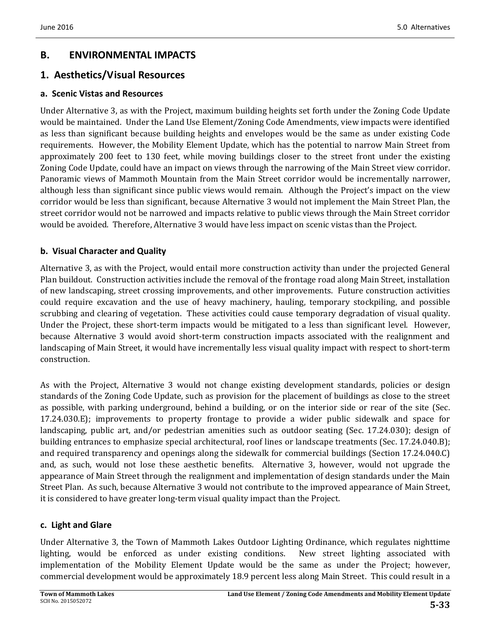## **B. ENVIRONMENTAL IMPACTS**

### **1. Aesthetics/Visual Resources**

#### **a. Scenic Vistas and Resources**

Under Alternative 3, as with the Project, maximum building heights set forth under the Zoning Code Update would be maintained. Under the Land Use Element/Zoning Code Amendments, view impacts were identified as less than significant because building heights and envelopes would be the same as under existing Code requirements. However, the Mobility Element Update, which has the potential to narrow Main Street from approximately 200 feet to 130 feet, while moving buildings closer to the street front under the existing Zoning Code Update, could have an impact on views through the narrowing of the Main Street view corridor. Panoramic views of Mammoth Mountain from the Main Street corridor would be incrementally narrower, although less than significant since public views would remain. Although the Project's impact on the view corridor would be less than significant, because Alternative 3 would not implement the Main Street Plan, the street corridor would not be narrowed and impacts relative to public views through the Main Street corridor would be avoided. Therefore, Alternative 3 would have less impact on scenic vistas than the Project.

### **b. Visual Character and Quality**

Alternative 3, as with the Project, would entail more construction activity than under the projected General Plan buildout. Construction activities include the removal of the frontage road along Main Street, installation of new landscaping, street crossing improvements, and other improvements. Future construction activities could require excavation and the use of heavy machinery, hauling, temporary stockpiling, and possible scrubbing and clearing of vegetation. These activities could cause temporary degradation of visual quality. Under the Project, these short-term impacts would be mitigated to a less than significant level. However, because Alternative 3 would avoid short-term construction impacts associated with the realignment and landscaping of Main Street, it would have incrementally less visual quality impact with respect to short-term construction. 

As with the Project, Alternative 3 would not change existing development standards, policies or design standards of the Zoning Code Update, such as provision for the placement of buildings as close to the street as possible, with parking underground, behind a building, or on the interior side or rear of the site (Sec. 17.24.030.E); improvements to property frontage to provide a wider public sidewalk and space for landscaping, public art, and/or pedestrian amenities such as outdoor seating (Sec. 17.24.030); design of building entrances to emphasize special architectural, roof lines or landscape treatments (Sec. 17.24.040.B); and required transparency and openings along the sidewalk for commercial buildings (Section 17.24.040.C) and, as such, would not lose these aesthetic benefits. Alternative 3, however, would not upgrade the appearance of Main Street through the realignment and implementation of design standards under the Main Street Plan. As such, because Alternative 3 would not contribute to the improved appearance of Main Street, it is considered to have greater long-term visual quality impact than the Project.

### **c. Light and Glare**

Under Alternative 3, the Town of Mammoth Lakes Outdoor Lighting Ordinance, which regulates nighttime lighting, would be enforced as under existing conditions. New street lighting associated with implementation of the Mobility Element Update would be the same as under the Project; however, commercial development would be approximately 18.9 percent less along Main Street. This could result in a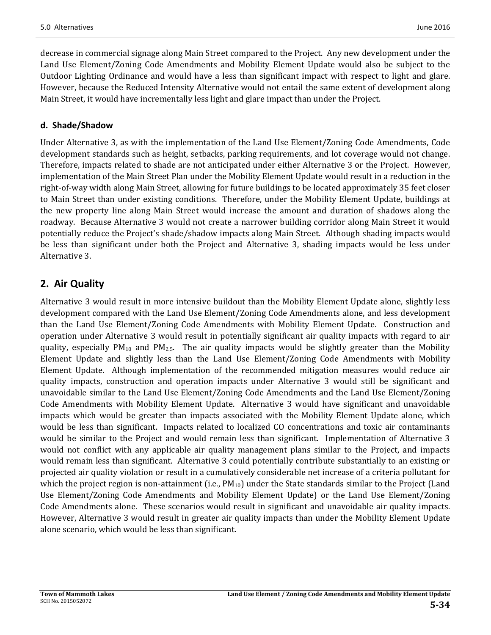decrease in commercial signage along Main Street compared to the Project. Any new development under the Land Use Element/Zoning Code Amendments and Mobility Element Update would also be subject to the Outdoor Lighting Ordinance and would have a less than significant impact with respect to light and glare. However, because the Reduced Intensity Alternative would not entail the same extent of development along Main Street, it would have incrementally less light and glare impact than under the Project.

### **d. Shade/Shadow**

Under Alternative 3, as with the implementation of the Land Use Element/Zoning Code Amendments, Code development standards such as height, setbacks, parking requirements, and lot coverage would not change. Therefore, impacts related to shade are not anticipated under either Alternative 3 or the Project. However, implementation of the Main Street Plan under the Mobility Element Update would result in a reduction in the right-of-way width along Main Street, allowing for future buildings to be located approximately 35 feet closer to Main Street than under existing conditions. Therefore, under the Mobility Element Update, buildings at the new property line along Main Street would increase the amount and duration of shadows along the roadway. Because Alternative 3 would not create a narrower building corridor along Main Street it would potentially reduce the Project's shade/shadow impacts along Main Street. Although shading impacts would be less than significant under both the Project and Alternative 3, shading impacts would be less under Alternative 3.

## **2. Air Quality**

Alternative 3 would result in more intensive buildout than the Mobility Element Update alone, slightly less development compared with the Land Use Element/Zoning Code Amendments alone, and less development than the Land Use Element/Zoning Code Amendments with Mobility Element Update. Construction and operation under Alternative 3 would result in potentially significant air quality impacts with regard to air quality, especially  $PM_{10}$  and  $PM_{2.5}$ . The air quality impacts would be slightly greater than the Mobility Element Update and slightly less than the Land Use Element/Zoning Code Amendments with Mobility Element Update. Although implementation of the recommended mitigation measures would reduce air quality impacts, construction and operation impacts under Alternative 3 would still be significant and unavoidable similar to the Land Use Element/Zoning Code Amendments and the Land Use Element/Zoning Code Amendments with Mobility Element Update. Alternative 3 would have significant and unavoidable impacts which would be greater than impacts associated with the Mobility Element Update alone, which would be less than significant. Impacts related to localized CO concentrations and toxic air contaminants would be similar to the Project and would remain less than significant. Implementation of Alternative 3 would not conflict with any applicable air quality management plans similar to the Project, and impacts would remain less than significant. Alternative 3 could potentially contribute substantially to an existing or projected air quality violation or result in a cumulatively considerable net increase of a criteria pollutant for which the project region is non-attainment (i.e.,  $PM_{10}$ ) under the State standards similar to the Project (Land Use Element/Zoning Code Amendments and Mobility Element Update) or the Land Use Element/Zoning Code Amendments alone. These scenarios would result in significant and unavoidable air quality impacts. However, Alternative 3 would result in greater air quality impacts than under the Mobility Element Update alone scenario, which would be less than significant.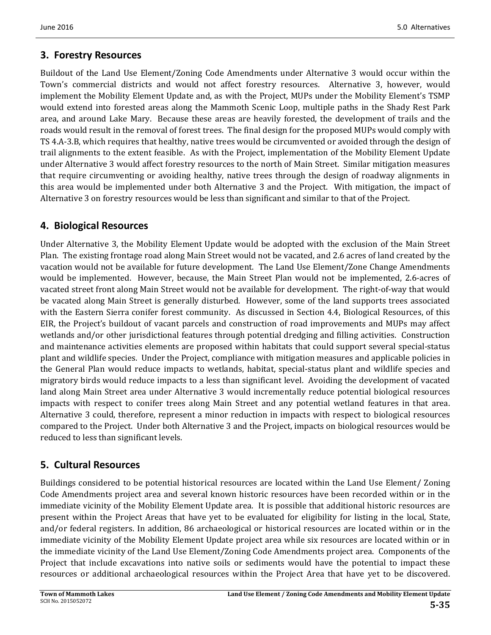## **3. Forestry Resources**

Buildout of the Land Use Element/Zoning Code Amendments under Alternative 3 would occur within the Town's commercial districts and would not affect forestry resources. Alternative 3, however, would implement the Mobility Element Update and, as with the Project, MUPs under the Mobility Element's TSMP would extend into forested areas along the Mammoth Scenic Loop, multiple paths in the Shady Rest Park area, and around Lake Mary. Because these areas are heavily forested, the development of trails and the roads would result in the removal of forest trees. The final design for the proposed MUPs would comply with TS 4.A-3.B, which requires that healthy, native trees would be circumvented or avoided through the design of trail alignments to the extent feasible. As with the Project, implementation of the Mobility Element Update under Alternative 3 would affect forestry resources to the north of Main Street. Similar mitigation measures that require circumventing or avoiding healthy, native trees through the design of roadway alignments in this area would be implemented under both Alternative 3 and the Project. With mitigation, the impact of Alternative 3 on forestry resources would be less than significant and similar to that of the Project.

## **4. Biological Resources**

Under Alternative 3, the Mobility Element Update would be adopted with the exclusion of the Main Street Plan. The existing frontage road along Main Street would not be vacated, and 2.6 acres of land created by the vacation would not be available for future development. The Land Use Element/Zone Change Amendments would be implemented. However, because, the Main Street Plan would not be implemented, 2.6-acres of vacated street front along Main Street would not be available for development. The right-of-way that would be vacated along Main Street is generally disturbed. However, some of the land supports trees associated with the Eastern Sierra conifer forest community. As discussed in Section 4.4, Biological Resources, of this EIR, the Project's buildout of vacant parcels and construction of road improvements and MUPs may affect wetlands and/or other jurisdictional features through potential dredging and filling activities. Construction and maintenance activities elements are proposed within habitats that could support several special-status plant and wildlife species. Under the Project, compliance with mitigation measures and applicable policies in the General Plan would reduce impacts to wetlands, habitat, special-status plant and wildlife species and migratory birds would reduce impacts to a less than significant level. Avoiding the development of vacated land along Main Street area under Alternative 3 would incrementally reduce potential biological resources impacts with respect to conifer trees along Main Street and any potential wetland features in that area. Alternative 3 could, therefore, represent a minor reduction in impacts with respect to biological resources compared to the Project. Under both Alternative 3 and the Project, impacts on biological resources would be reduced to less than significant levels.

## **5. Cultural Resources**

Buildings considered to be potential historical resources are located within the Land Use Element/ Zoning Code Amendments project area and several known historic resources have been recorded within or in the immediate vicinity of the Mobility Element Update area. It is possible that additional historic resources are present within the Project Areas that have yet to be evaluated for eligibility for listing in the local, State, and/or federal registers. In addition, 86 archaeological or historical resources are located within or in the immediate vicinity of the Mobility Element Update project area while six resources are located within or in the immediate vicinity of the Land Use Element/Zoning Code Amendments project area. Components of the Project that include excavations into native soils or sediments would have the potential to impact these resources or additional archaeological resources within the Project Area that have yet to be discovered.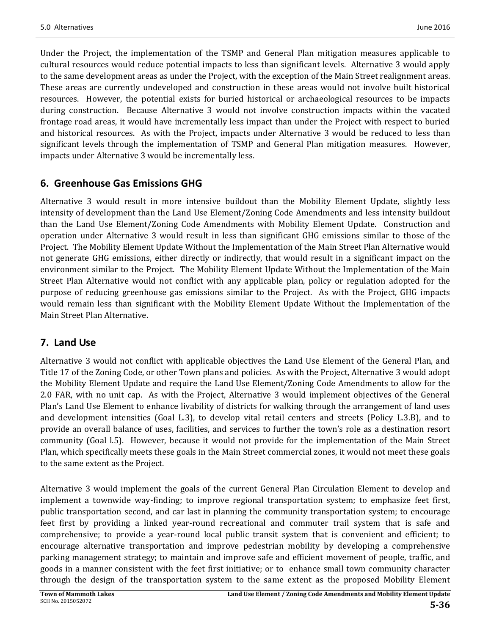Under the Project, the implementation of the TSMP and General Plan mitigation measures applicable to cultural resources would reduce potential impacts to less than significant levels. Alternative 3 would apply to the same development areas as under the Project, with the exception of the Main Street realignment areas. These areas are currently undeveloped and construction in these areas would not involve built historical resources. However, the potential exists for buried historical or archaeological resources to be impacts during construction. Because Alternative 3 would not involve construction impacts within the vacated frontage road areas, it would have incrementally less impact than under the Project with respect to buried and historical resources. As with the Project, impacts under Alternative 3 would be reduced to less than significant levels through the implementation of TSMP and General Plan mitigation measures. However, impacts under Alternative 3 would be incrementally less.

## **6. Greenhouse Gas Emissions GHG**

Alternative 3 would result in more intensive buildout than the Mobility Element Update, slightly less intensity of development than the Land Use Element/Zoning Code Amendments and less intensity buildout than the Land Use Element/Zoning Code Amendments with Mobility Element Update. Construction and operation under Alternative 3 would result in less than significant GHG emissions similar to those of the Project. The Mobility Element Update Without the Implementation of the Main Street Plan Alternative would not generate GHG emissions, either directly or indirectly, that would result in a significant impact on the environment similar to the Project. The Mobility Element Update Without the Implementation of the Main Street Plan Alternative would not conflict with any applicable plan, policy or regulation adopted for the purpose of reducing greenhouse gas emissions similar to the Project. As with the Project, GHG impacts would remain less than significant with the Mobility Element Update Without the Implementation of the Main Street Plan Alternative.

## **7. Land Use**

Alternative 3 would not conflict with applicable objectives the Land Use Element of the General Plan, and Title 17 of the Zoning Code, or other Town plans and policies. As with the Project, Alternative 3 would adopt the Mobility Element Update and require the Land Use Element/Zoning Code Amendments to allow for the 2.0 FAR, with no unit cap. As with the Project, Alternative 3 would implement objectives of the General Plan's Land Use Element to enhance livability of districts for walking through the arrangement of land uses and development intensities (Goal L.3), to develop vital retail centers and streets (Policy L.3.B), and to provide an overall balance of uses, facilities, and services to further the town's role as a destination resort community (Goal l.5). However, because it would not provide for the implementation of the Main Street Plan, which specifically meets these goals in the Main Street commercial zones, it would not meet these goals to the same extent as the Project.

Alternative 3 would implement the goals of the current General Plan Circulation Element to develop and implement a townwide way-finding; to improve regional transportation system; to emphasize feet first, public transportation second, and car last in planning the community transportation system; to encourage feet first by providing a linked year-round recreational and commuter trail system that is safe and comprehensive; to provide a year-round local public transit system that is convenient and efficient; to encourage alternative transportation and improve pedestrian mobility by developing a comprehensive parking management strategy; to maintain and improve safe and efficient movement of people, traffic, and goods in a manner consistent with the feet first initiative; or to enhance small town community character through the design of the transportation system to the same extent as the proposed Mobility Element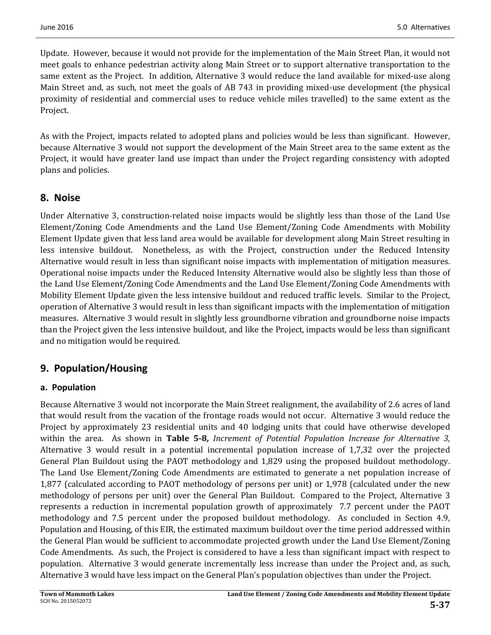Update. However, because it would not provide for the implementation of the Main Street Plan, it would not meet goals to enhance pedestrian activity along Main Street or to support alternative transportation to the same extent as the Project. In addition, Alternative 3 would reduce the land available for mixed-use along Main Street and, as such, not meet the goals of AB 743 in providing mixed-use development (the physical proximity of residential and commercial uses to reduce vehicle miles travelled) to the same extent as the Project. 

As with the Project, impacts related to adopted plans and policies would be less than significant. However, because Alternative 3 would not support the development of the Main Street area to the same extent as the Project, it would have greater land use impact than under the Project regarding consistency with adopted plans and policies.

## **8. Noise**

Under Alternative 3, construction-related noise impacts would be slightly less than those of the Land Use Element/Zoning Code Amendments and the Land Use Element/Zoning Code Amendments with Mobility Element Update given that less land area would be available for development along Main Street resulting in less intensive buildout. Nonetheless, as with the Project, construction under the Reduced Intensity Alternative would result in less than significant noise impacts with implementation of mitigation measures. Operational noise impacts under the Reduced Intensity Alternative would also be slightly less than those of the Land Use Element/Zoning Code Amendments and the Land Use Element/Zoning Code Amendments with Mobility Element Update given the less intensive buildout and reduced traffic levels. Similar to the Project, operation of Alternative 3 would result in less than significant impacts with the implementation of mitigation measures. Alternative 3 would result in slightly less groundborne vibration and groundborne noise impacts than the Project given the less intensive buildout, and like the Project, impacts would be less than significant and no mitigation would be required.

## **9. Population/Housing**

### **a. Population**

Because Alternative 3 would not incorporate the Main Street realignment, the availability of 2.6 acres of land that would result from the vacation of the frontage roads would not occur. Alternative 3 would reduce the Project by approximately 23 residential units and 40 lodging units that could have otherwise developed within the area. As shown in **Table 5‐8,** *Increment of Potential Population Increase for Alternative 3,* Alternative 3 would result in a potential incremental population increase of  $1,7,32$  over the projected General Plan Buildout using the PAOT methodology and 1,829 using the proposed buildout methodology. The Land Use Element/Zoning Code Amendments are estimated to generate a net population increase of 1,877 (calculated according to PAOT methodology of persons per unit) or 1,978 (calculated under the new methodology of persons per unit) over the General Plan Buildout. Compared to the Project, Alternative 3 represents a reduction in incremental population growth of approximately 7.7 percent under the PAOT methodology and 7.5 percent under the proposed buildout methodology. As concluded in Section 4.9, Population and Housing, of this EIR, the estimated maximum buildout over the time period addressed within the General Plan would be sufficient to accommodate projected growth under the Land Use Element/Zoning Code Amendments. As such, the Project is considered to have a less than significant impact with respect to population. Alternative 3 would generate incrementally less increase than under the Project and, as such, Alternative 3 would have less impact on the General Plan's population objectives than under the Project.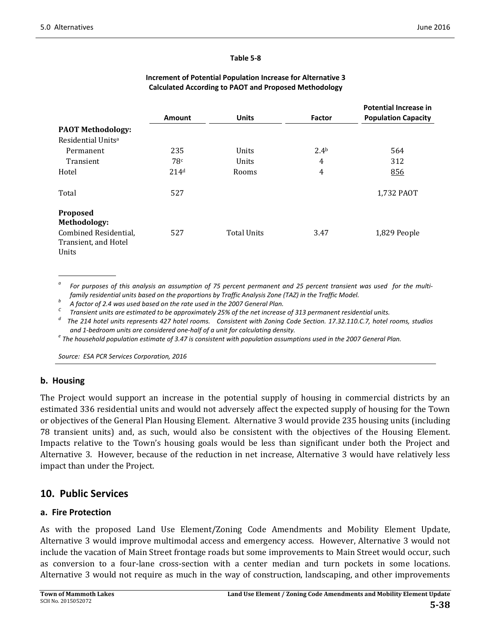#### **Table 5‐8**

|                                |                  |                    |                  | <b>Potential Increase in</b> |
|--------------------------------|------------------|--------------------|------------------|------------------------------|
|                                | Amount           | <b>Units</b>       | Factor           | <b>Population Capacity</b>   |
| <b>PAOT Methodology:</b>       |                  |                    |                  |                              |
| Residential Units <sup>a</sup> |                  |                    |                  |                              |
| Permanent                      | 235              | Units              | 2.4 <sup>b</sup> | 564                          |
| Transient                      | 78 <sup>c</sup>  | Units              | 4                | 312                          |
| Hotel                          | 214 <sup>d</sup> | Rooms              | 4                | 856                          |
| Total                          | 527              |                    |                  | 1,732 PAOT                   |
| Proposed                       |                  |                    |                  |                              |
| Methodology:                   |                  |                    |                  |                              |
| Combined Residential,          | 527              | <b>Total Units</b> | 3.47             | 1,829 People                 |
| Transient, and Hotel           |                  |                    |                  |                              |
| Units                          |                  |                    |                  |                              |

#### **Increment of Potential Population Increase for Alternative 3 Calculated According to PAOT and Proposed Methodology**

For purposes of this analysis an assumption of 75 percent permanent and 25 percent transient was used for the multifamily residential units based on the proportions by Traffic Analysis Zone (TAZ) in the Traffic Model.<br>
A factor of 2.4 was used based on the rate used in the 2007 General Plan.<br>
<sup>6</sup> Transient units are estimated to be ap

The 214 hotel units represents 427 hotel rooms. Consistent with Zoning Code Section. 17.32.110.C.7, hotel rooms, studios

and 1-bedroom units are considered one-half of a unit for calculating density.<br>The household population estimate of 3.47 is consistent with population assumptions used in the 2007 General Plan.

*Source: ESA PCR Services Corporation, 2016*

#### **b. Housing**

The Project would support an increase in the potential supply of housing in commercial districts by an estimated 336 residential units and would not adversely affect the expected supply of housing for the Town or objectives of the General Plan Housing Element. Alternative 3 would provide 235 housing units (including 78 transient units) and, as such, would also be consistent with the objectives of the Housing Element. Impacts relative to the Town's housing goals would be less than significant under both the Project and Alternative 3. However, because of the reduction in net increase, Alternative 3 would have relatively less impact than under the Project.

### **10. Public Services**

#### **a. Fire Protection**

As with the proposed Land Use Element/Zoning Code Amendments and Mobility Element Update, Alternative 3 would improve multimodal access and emergency access. However, Alternative 3 would not include the vacation of Main Street frontage roads but some improvements to Main Street would occur, such as conversion to a four-lane cross-section with a center median and turn pockets in some locations. Alternative 3 would not require as much in the way of construction, landscaping, and other improvements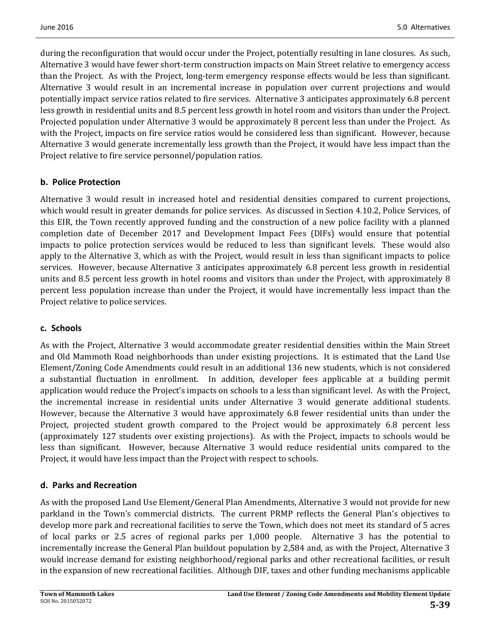during the reconfiguration that would occur under the Project, potentially resulting in lane closures. As such, Alternative 3 would have fewer short-term construction impacts on Main Street relative to emergency access than the Project. As with the Project, long-term emergency response effects would be less than significant. Alternative 3 would result in an incremental increase in population over current projections and would potentially impact service ratios related to fire services. Alternative 3 anticipates approximately 6.8 percent less growth in residential units and 8.5 percent less growth in hotel room and visitors than under the Project. Projected population under Alternative 3 would be approximately 8 percent less than under the Project. As with the Project, impacts on fire service ratios would be considered less than significant. However, because Alternative 3 would generate incrementally less growth than the Project, it would have less impact than the Project relative to fire service personnel/population ratios.

### **b. Police Protection**

Alternative 3 would result in increased hotel and residential densities compared to current projections, which would result in greater demands for police services. As discussed in Section 4.10.2, Police Services, of this EIR, the Town recently approved funding and the construction of a new police facility with a planned completion date of December 2017 and Development Impact Fees (DIFs) would ensure that potential impacts to police protection services would be reduced to less than significant levels. These would also apply to the Alternative 3, which as with the Project, would result in less than significant impacts to police services. However, because Alternative 3 anticipates approximately 6.8 percent less growth in residential units and 8.5 percent less growth in hotel rooms and visitors than under the Project, with approximately 8 percent less population increase than under the Project, it would have incrementally less impact than the Project relative to police services.

### **c. Schools**

As with the Project, Alternative 3 would accommodate greater residential densities within the Main Street and Old Mammoth Road neighborhoods than under existing projections. It is estimated that the Land Use Element/Zoning Code Amendments could result in an additional 136 new students, which is not considered a substantial fluctuation in enrollment. In addition, developer fees applicable at a building permit application would reduce the Project's impacts on schools to a less than significant level. As with the Project, the incremental increase in residential units under Alternative 3 would generate additional students. However, because the Alternative 3 would have approximately 6.8 fewer residential units than under the Project, projected student growth compared to the Project would be approximately 6.8 percent less (approximately 127 students over existing projections). As with the Project, impacts to schools would be less than significant. However, because Alternative 3 would reduce residential units compared to the Project, it would have less impact than the Project with respect to schools.

### **d. Parks and Recreation**

As with the proposed Land Use Element/General Plan Amendments, Alternative 3 would not provide for new parkland in the Town's commercial districts. The current PRMP reflects the General Plan's objectives to develop more park and recreational facilities to serve the Town, which does not meet its standard of 5 acres of local parks or 2.5 acres of regional parks per 1,000 people. Alternative 3 has the potential to incrementally increase the General Plan buildout population by 2,584 and, as with the Project, Alternative 3 would increase demand for existing neighborhood/regional parks and other recreational facilities, or result in the expansion of new recreational facilities. Although DIF, taxes and other funding mechanisms applicable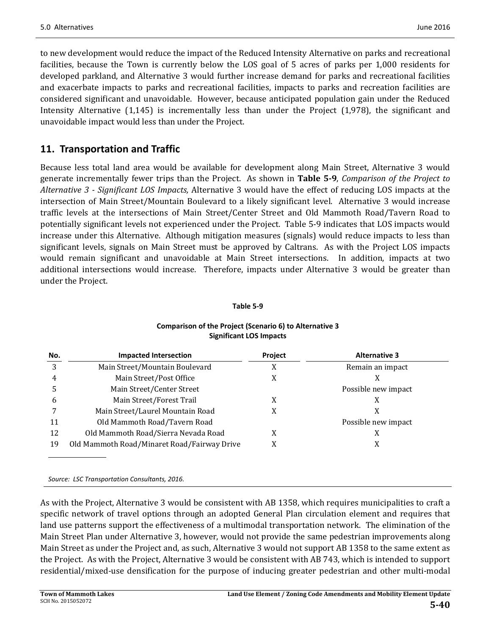to new development would reduce the impact of the Reduced Intensity Alternative on parks and recreational facilities, because the Town is currently below the LOS goal of 5 acres of parks per 1,000 residents for developed parkland, and Alternative 3 would further increase demand for parks and recreational facilities and exacerbate impacts to parks and recreational facilities, impacts to parks and recreation facilities are considered significant and unavoidable. However, because anticipated population gain under the Reduced Intensity Alternative  $(1,145)$  is incrementally less than under the Project  $(1,978)$ , the significant and unavoidable impact would less than under the Project.

## **11. Transportation and Traffic**

Because less total land area would be available for development along Main Street, Alternative 3 would generate incrementally fewer trips than the Project. As shown in **Table 5‐9**, *Comparison of the Project to Alternative 3 ‐ Significant LOS Impacts,* Alternative 3 would have the effect of reducing LOS impacts at the intersection of Main Street/Mountain Boulevard to a likely significant level. Alternative 3 would increase traffic levels at the intersections of Main Street/Center Street and Old Mammoth Road/Tavern Road to potentially significant levels not experienced under the Project. Table 5-9 indicates that LOS impacts would increase under this Alternative. Although mitigation measures (signals) would reduce impacts to less than significant levels, signals on Main Street must be approved by Caltrans. As with the Project LOS impacts would remain significant and unavoidable at Main Street intersections. In addition, impacts at two additional intersections would increase. Therefore, impacts under Alternative 3 would be greater than under the Project.

#### **Table 5‐9**

**Comparison of the Project (Scenario 6) to Alternative 3**

|                       | <b>Significant LOS Impacts</b> |                 |
|-----------------------|--------------------------------|-----------------|
| Impacted Intersection | <b>Project</b>                 | <b>Alternat</b> |
|                       |                                |                 |

| No. | <b>Impacted Intersection</b>                | Project | <b>Alternative 3</b> |
|-----|---------------------------------------------|---------|----------------------|
| 3   | Main Street/Mountain Boulevard              | X       | Remain an impact     |
| 4   | Main Street/Post Office                     | X       | X                    |
|     | Main Street/Center Street                   |         | Possible new impact  |
| b   | Main Street/Forest Trail                    | X       | X                    |
|     | Main Street/Laurel Mountain Road            | X       | X                    |
| 11  | Old Mammoth Road/Tavern Road                |         | Possible new impact  |
| 12  | Old Mammoth Road/Sierra Nevada Road         | X       | X                    |
| 19  | Old Mammoth Road/Minaret Road/Fairway Drive | X       | X                    |
|     |                                             |         |                      |

*Source: LSC Transportation Consultants, 2016.*

As with the Project, Alternative 3 would be consistent with AB 1358, which requires municipalities to craft a specific network of travel options through an adopted General Plan circulation element and requires that land use patterns support the effectiveness of a multimodal transportation network. The elimination of the Main Street Plan under Alternative 3, however, would not provide the same pedestrian improvements along Main Street as under the Project and, as such, Alternative 3 would not support AB 1358 to the same extent as the Project. As with the Project, Alternative 3 would be consistent with AB 743, which is intended to support residential/mixed-use densification for the purpose of inducing greater pedestrian and other multi-modal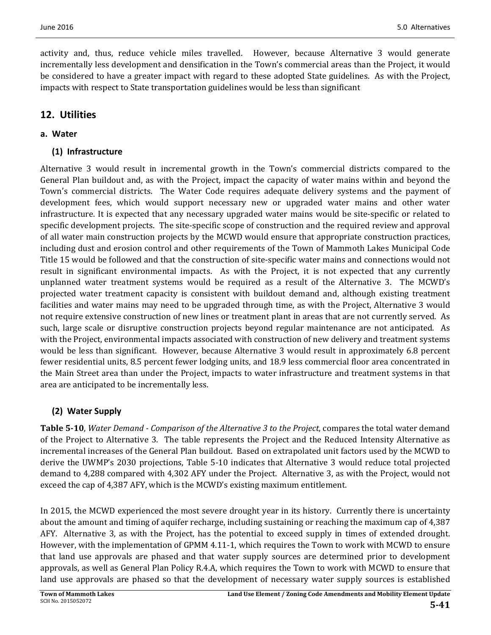activity and, thus, reduce vehicle miles travelled. However, because Alternative 3 would generate incrementally less development and densification in the Town's commercial areas than the Project, it would be considered to have a greater impact with regard to these adopted State guidelines. As with the Project, impacts with respect to State transportation guidelines would be less than significant

## **12. Utilities**

### **a. Water**

### **(1) Infrastructure**

Alternative 3 would result in incremental growth in the Town's commercial districts compared to the General Plan buildout and, as with the Project, impact the capacity of water mains within and beyond the Town's commercial districts. The Water Code requires adequate delivery systems and the payment of development fees, which would support necessary new or upgraded water mains and other water infrastructure. It is expected that any necessary upgraded water mains would be site-specific or related to specific development projects. The site-specific scope of construction and the required review and approval of all water main construction projects by the MCWD would ensure that appropriate construction practices, including dust and erosion control and other requirements of the Town of Mammoth Lakes Municipal Code Title 15 would be followed and that the construction of site-specific water mains and connections would not result in significant environmental impacts. As with the Project, it is not expected that any currently unplanned water treatment systems would be required as a result of the Alternative 3. The MCWD's projected water treatment capacity is consistent with buildout demand and, although existing treatment facilities and water mains may need to be upgraded through time, as with the Project, Alternative 3 would not require extensive construction of new lines or treatment plant in areas that are not currently served. As such, large scale or disruptive construction projects beyond regular maintenance are not anticipated. As with the Project, environmental impacts associated with construction of new delivery and treatment systems would be less than significant. However, because Alternative 3 would result in approximately 6.8 percent fewer residential units, 8.5 percent fewer lodging units, and 18.9 less commercial floor area concentrated in the Main Street area than under the Project, impacts to water infrastructure and treatment systems in that area are anticipated to be incrementally less.

## **(2) Water Supply**

**Table 5‐10**, *Water Demand ‐ Comparison of the Alternative 3 to the Project*, compares the total water demand of the Project to Alternative 3. The table represents the Project and the Reduced Intensity Alternative as incremental increases of the General Plan buildout. Based on extrapolated unit factors used by the MCWD to derive the UWMP's 2030 projections, Table 5-10 indicates that Alternative 3 would reduce total projected demand to 4,288 compared with 4,302 AFY under the Project. Alternative 3, as with the Project, would not exceed the cap of 4,387 AFY, which is the MCWD's existing maximum entitlement.

In 2015, the MCWD experienced the most severe drought year in its history. Currently there is uncertainty about the amount and timing of aquifer recharge, including sustaining or reaching the maximum cap of 4,387 AFY. Alternative 3, as with the Project, has the potential to exceed supply in times of extended drought. However, with the implementation of GPMM 4.11-1, which requires the Town to work with MCWD to ensure that land use approvals are phased and that water supply sources are determined prior to development approvals, as well as General Plan Policy R.4.A, which requires the Town to work with MCWD to ensure that land use approvals are phased so that the development of necessary water supply sources is established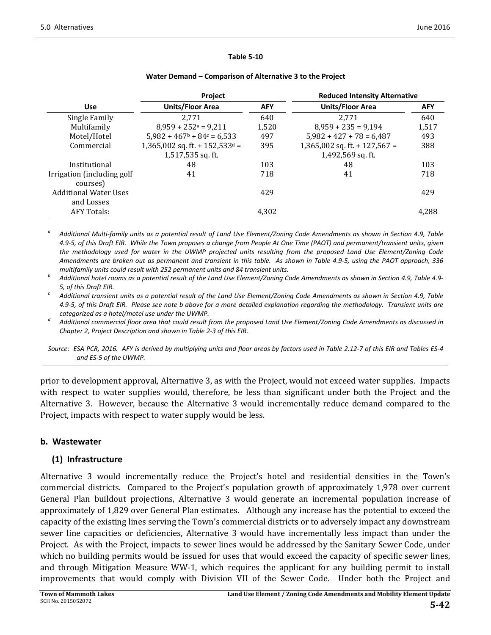#### **Table 5‐10**

|                              | <b>Project</b>                                       |            | <b>Reduced Intensity Alternative</b> |            |
|------------------------------|------------------------------------------------------|------------|--------------------------------------|------------|
| <b>Use</b>                   | <b>Units/Floor Area</b>                              | <b>AFY</b> | Units/Floor Area                     | <b>AFY</b> |
| Single Family                | 2.771                                                | 640        | 2.771                                | 640        |
| Multifamily                  | $8,959 + 252 = 9,211$                                | 1.520      | $8,959 + 235 = 9,194$                | 1,517      |
| Motel/Hotel                  | $5,982 + 467$ <sup>b</sup> + 84 <sup>c</sup> = 6,533 | 497        | $5,982 + 427 + 78 = 6,487$           | 493        |
| Commercial                   | $1,365,002$ sq. ft. + 152,533 <sup>d</sup> =         | 395        | 1,365,002 sq. ft. + 127,567 =        | 388        |
|                              | 1,517,535 sq. ft.                                    |            | 1,492,569 sq. ft.                    |            |
| Institutional                | 48                                                   | 103        | 48                                   | 103        |
| Irrigation (including golf)  | 41                                                   | 718        | 41                                   | 718        |
| courses)                     |                                                      |            |                                      |            |
| <b>Additional Water Uses</b> |                                                      | 429        |                                      | 429        |
| and Losses                   |                                                      |            |                                      |            |
| <b>AFY Totals:</b>           |                                                      | 4,302      |                                      | 4.288      |
|                              |                                                      |            |                                      |            |

#### **Water Demand – Comparison of Alternative 3 to the Project**

Additional Multi-family units as a potential result of Land Use Element/Zoning Code Amendments as shown in Section 4.9, Table 4.9-5, of this Draft EIR. While the Town proposes a change from People At One Time (PAOT) and permanent/transient units, given the methodology used for water in the UWMP projected units resulting from the proposed Land Use Element/Zoning Code Amendments are broken out as permanent and transient in this table. As shown in Table 4.9-5, using the PAOT approach, 336

multifamily units could result with 252 permanent units and 84 transient units.<br>Additional hotel rooms as a potential result of the Land Use Element/Zoning Code Amendments as shown in Section 4.9, Table 4.9-

5, of this Draft EIR.<br>Additional transient units as a potential result of the Land Use Element/Zoning Code Amendments as shown in Section 4.9, Table 4.9-5, of this Draft EIR. Please see note b above for a more detailed explanation regarding the methodology. Transient units are

categorized as a hotel/motel use under the UWMP.<br>Additional commercial floor area that could result from the proposed Land Use Element/Zoning Code Amendments as discussed in *Chapter 2, Project Description and shown in Table 2‐3 of this EIR.* 

Source: ESA PCR, 2016. AFY is derived by multiplying units and floor areas by factors used in Table 2.12-7 of this EIR and Tables ES-4 *and ES‐5 of the UWMP.*

prior to development approval, Alternative 3, as with the Project, would not exceed water supplies. Impacts with respect to water supplies would, therefore, be less than significant under both the Project and the Alternative 3. However, because the Alternative 3 would incrementally reduce demand compared to the Project, impacts with respect to water supply would be less.

### **b. Wastewater**

#### **(1) Infrastructure**

Alternative 3 would incrementally reduce the Project's hotel and residential densities in the Town's commercial districts. Compared to the Project's population growth of approximately 1,978 over current General Plan buildout projections, Alternative 3 would generate an incremental population increase of approximately of 1,829 over General Plan estimates. Although any increase has the potential to exceed the capacity of the existing lines serving the Town's commercial districts or to adversely impact any downstream sewer line capacities or deficiencies, Alternative 3 would have incrementally less impact than under the Project. As with the Project, impacts to sewer lines would be addressed by the Sanitary Sewer Code, under which no building permits would be issued for uses that would exceed the capacity of specific sewer lines, and through Mitigation Measure WW-1, which requires the applicant for any building permit to install improvements that would comply with Division VII of the Sewer Code. Under both the Project and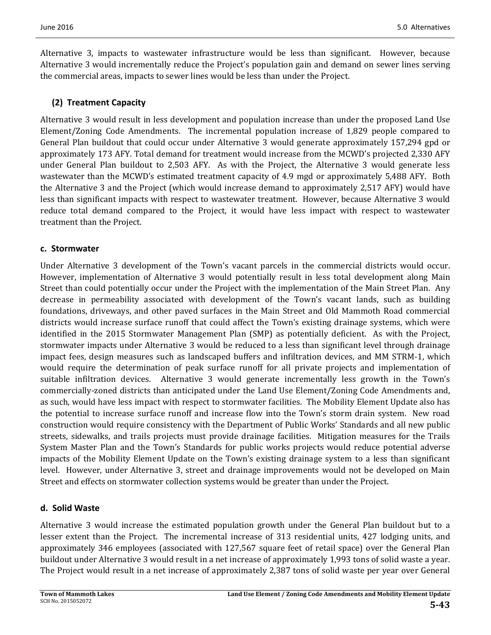Alternative 3, impacts to wastewater infrastructure would be less than significant. However, because Alternative 3 would incrementally reduce the Project's population gain and demand on sewer lines serving the commercial areas, impacts to sewer lines would be less than under the Project.

#### **(2) Treatment Capacity**

Alternative 3 would result in less development and population increase than under the proposed Land Use Element/Zoning Code Amendments. The incremental population increase of 1,829 people compared to General Plan buildout that could occur under Alternative 3 would generate approximately 157,294 gpd or approximately 173 AFY. Total demand for treatment would increase from the MCWD's projected 2,330 AFY under General Plan buildout to 2,503 AFY. As with the Project, the Alternative 3 would generate less wastewater than the MCWD's estimated treatment capacity of 4.9 mgd or approximately 5,488 AFY. Both the Alternative 3 and the Project (which would increase demand to approximately 2,517 AFY) would have less than significant impacts with respect to wastewater treatment. However, because Alternative 3 would reduce total demand compared to the Project, it would have less impact with respect to wastewater treatment than the Project.

#### **c. Stormwater**

Under Alternative 3 development of the Town's vacant parcels in the commercial districts would occur. However, implementation of Alternative 3 would potentially result in less total development along Main Street than could potentially occur under the Project with the implementation of the Main Street Plan. Any decrease in permeability associated with development of the Town's vacant lands, such as building foundations, driveways, and other paved surfaces in the Main Street and Old Mammoth Road commercial districts would increase surface runoff that could affect the Town's existing drainage systems, which were identified in the 2015 Stormwater Management Plan (SMP) as potentially deficient. As with the Project, stormwater impacts under Alternative 3 would be reduced to a less than significant level through drainage impact fees, design measures such as landscaped buffers and infiltration devices, and MM STRM-1, which would require the determination of peak surface runoff for all private projects and implementation of suitable infiltration devices. Alternative 3 would generate incrementally less growth in the Town's commercially-zoned districts than anticipated under the Land Use Element/Zoning Code Amendments and, as such, would have less impact with respect to stormwater facilities. The Mobility Element Update also has the potential to increase surface runoff and increase flow into the Town's storm drain system. New road construction would require consistency with the Department of Public Works' Standards and all new public streets, sidewalks, and trails projects must provide drainage facilities. Mitigation measures for the Trails System Master Plan and the Town's Standards for public works projects would reduce potential adverse impacts of the Mobility Element Update on the Town's existing drainage system to a less than significant level. However, under Alternative 3, street and drainage improvements would not be developed on Main Street and effects on stormwater collection systems would be greater than under the Project.

#### **d. Solid Waste**

Alternative 3 would increase the estimated population growth under the General Plan buildout but to a lesser extent than the Project. The incremental increase of 313 residential units, 427 lodging units, and approximately 346 employees (associated with 127,567 square feet of retail space) over the General Plan buildout under Alternative 3 would result in a net increase of approximately 1,993 tons of solid waste a year. The Project would result in a net increase of approximately 2,387 tons of solid waste per year over General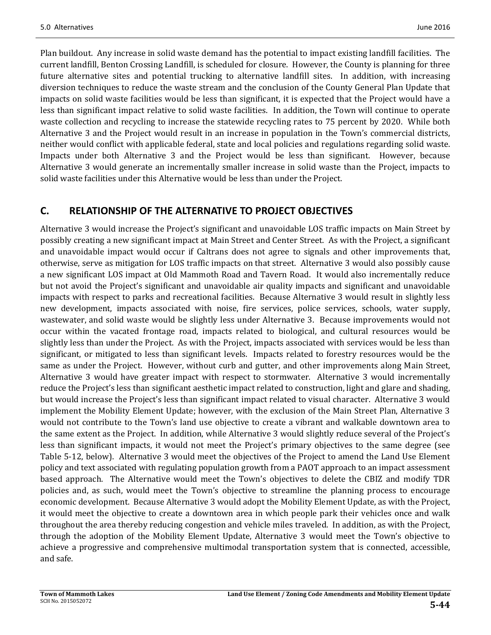Plan buildout. Any increase in solid waste demand has the potential to impact existing landfill facilities. The current landfill, Benton Crossing Landfill, is scheduled for closure. However, the County is planning for three future alternative sites and potential trucking to alternative landfill sites. In addition, with increasing diversion techniques to reduce the waste stream and the conclusion of the County General Plan Update that impacts on solid waste facilities would be less than significant, it is expected that the Project would have a less than significant impact relative to solid waste facilities. In addition, the Town will continue to operate waste collection and recycling to increase the statewide recycling rates to 75 percent by 2020. While both Alternative 3 and the Project would result in an increase in population in the Town's commercial districts, neither would conflict with applicable federal, state and local policies and regulations regarding solid waste. Impacts under both Alternative 3 and the Project would be less than significant. However, because Alternative 3 would generate an incrementally smaller increase in solid waste than the Project, impacts to solid waste facilities under this Alternative would be less than under the Project.

## **C. RELATIONSHIP OF THE ALTERNATIVE TO PROJECT OBJECTIVES**

Alternative 3 would increase the Project's significant and unavoidable LOS traffic impacts on Main Street by possibly creating a new significant impact at Main Street and Center Street. As with the Project, a significant and unavoidable impact would occur if Caltrans does not agree to signals and other improvements that, otherwise, serve as mitigation for LOS traffic impacts on that street. Alternative 3 would also possibly cause a new significant LOS impact at Old Mammoth Road and Tavern Road. It would also incrementally reduce but not avoid the Project's significant and unavoidable air quality impacts and significant and unavoidable impacts with respect to parks and recreational facilities. Because Alternative 3 would result in slightly less new development, impacts associated with noise, fire services, police services, schools, water supply, wastewater, and solid waste would be slightly less under Alternative 3. Because improvements would not occur within the vacated frontage road, impacts related to biological, and cultural resources would be slightly less than under the Project. As with the Project, impacts associated with services would be less than significant, or mitigated to less than significant levels. Impacts related to forestry resources would be the same as under the Project. However, without curb and gutter, and other improvements along Main Street, Alternative 3 would have greater impact with respect to stormwater. Alternative 3 would incrementally reduce the Project's less than significant aesthetic impact related to construction, light and glare and shading, but would increase the Project's less than significant impact related to visual character. Alternative 3 would implement the Mobility Element Update; however, with the exclusion of the Main Street Plan, Alternative 3 would not contribute to the Town's land use objective to create a vibrant and walkable downtown area to the same extent as the Project. In addition, while Alternative 3 would slightly reduce several of the Project's less than significant impacts, it would not meet the Project's primary objectives to the same degree (see Table 5-12, below). Alternative 3 would meet the objectives of the Project to amend the Land Use Element policy and text associated with regulating population growth from a PAOT approach to an impact assessment based approach. The Alternative would meet the Town's objectives to delete the CBIZ and modify TDR policies and, as such, would meet the Town's objective to streamline the planning process to encourage economic development. Because Alternative 3 would adopt the Mobility Element Update, as with the Project, it would meet the objective to create a downtown area in which people park their vehicles once and walk throughout the area thereby reducing congestion and vehicle miles traveled. In addition, as with the Project, through the adoption of the Mobility Element Update, Alternative 3 would meet the Town's objective to achieve a progressive and comprehensive multimodal transportation system that is connected, accessible, and safe.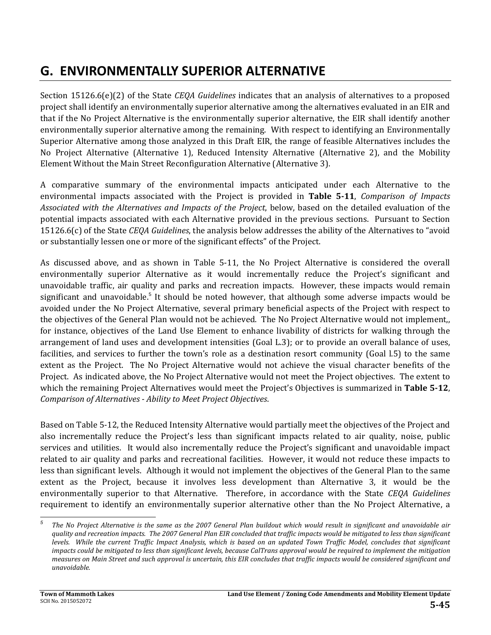# **G. ENVIRONMENTALLY SUPERIOR ALTERNATIVE**

Section 15126.6(e)(2) of the State *CEQA Guidelines* indicates that an analysis of alternatives to a proposed project shall identify an environmentally superior alternative among the alternatives evaluated in an EIR and that if the No Project Alternative is the environmentally superior alternative, the EIR shall identify another environmentally superior alternative among the remaining. With respect to identifying an Environmentally Superior Alternative among those analyzed in this Draft EIR, the range of feasible Alternatives includes the No Project Alternative (Alternative 1), Reduced Intensity Alternative (Alternative 2), and the Mobility Element Without the Main Street Reconfiguration Alternative (Alternative 3).

A comparative summary of the environmental impacts anticipated under each Alternative to the environmental impacts associated with the Project is provided in **Table 5‐11**, *Comparison of Impacts Associated with the Alternatives and Impacts of the Project*, below, based on the detailed evaluation of the potential impacts associated with each Alternative provided in the previous sections. Pursuant to Section 15126.6(c) of the State *CEQA Guidelines*, the analysis below addresses the ability of the Alternatives to "avoid or substantially lessen one or more of the significant effects" of the Project.

As discussed above, and as shown in Table 5-11, the No Project Alternative is considered the overall environmentally superior Alternative as it would incrementally reduce the Project's significant and unavoidable traffic, air quality and parks and recreation impacts. However, these impacts would remain significant and unavoidable.<sup>5</sup> It should be noted however, that although some adverse impacts would be avoided under the No Project Alternative, several primary beneficial aspects of the Project with respect to the objectives of the General Plan would not be achieved. The No Project Alternative would not implement, for instance, objectives of the Land Use Element to enhance livability of districts for walking through the arrangement of land uses and development intensities  $(GoaL.3)$ ; or to provide an overall balance of uses, facilities, and services to further the town's role as a destination resort community (Goal l.5) to the same extent as the Project. The No Project Alternative would not achieve the visual character benefits of the Project. As indicated above, the No Project Alternative would not meet the Project objectives. The extent to which the remaining Project Alternatives would meet the Project's Objectives is summarized in Table 5-12, *Comparison of Alternatives ‐ Ability to Meet Project Objectives*. 

Based on Table 5-12, the Reduced Intensity Alternative would partially meet the objectives of the Project and also incrementally reduce the Project's less than significant impacts related to air quality, noise, public services and utilities. It would also incrementally reduce the Project's significant and unavoidable impact related to air quality and parks and recreational facilities. However, it would not reduce these impacts to less than significant levels. Although it would not implement the objectives of the General Plan to the same extent as the Project, because it involves less development than Alternative 3, it would be the environmentally superior to that Alternative. Therefore, in accordance with the State CEQA Guidelines requirement to identify an environmentally superior alternative other than the No Project Alternative, a

<u> 1989 - Johann Stein, fransk politiker (d. 1989)</u>

*<sup>5</sup>* The No Project Alternative is the same as the 2007 General Plan buildout which would result in significant and unavoidable air quality and recreation impacts. The 2007 General Plan EIR concluded that traffic impacts would be mitigated to less than significant levels. While the current Traffic Impact Analysis, which is based on an updated Town Traffic Model, concludes that significant impacts could be mitigated to less than significant levels, because CalTrans approval would be required to implement the mitigation measures on Main Street and such approval is uncertain, this EIR concludes that traffic impacts would be considered significant and  $unavoidable.$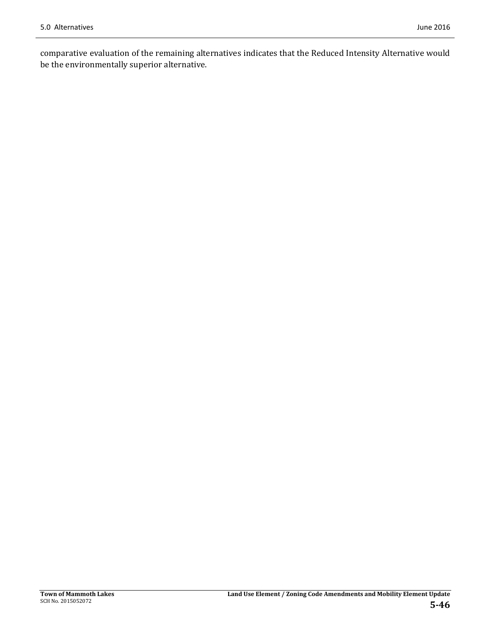comparative evaluation of the remaining alternatives indicates that the Reduced Intensity Alternative would be the environmentally superior alternative.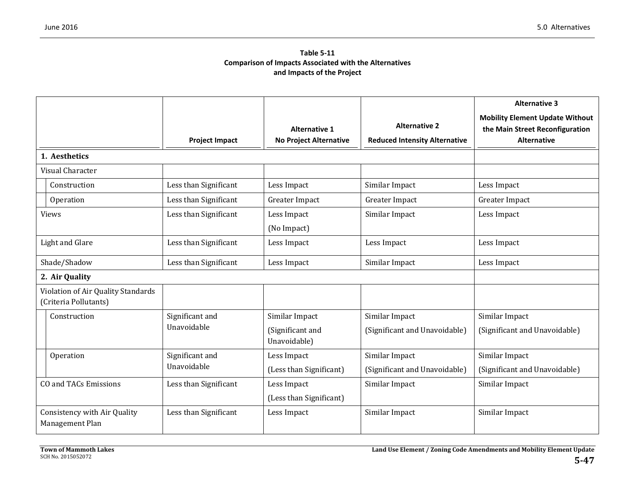#### **Table 5‐11Comparison of Impacts Associated with the Alternatives and Impacts of the Project**

|                                                             |                                        |                                                       |                                                              | <b>Alternative 3</b>                                                                            |  |
|-------------------------------------------------------------|----------------------------------------|-------------------------------------------------------|--------------------------------------------------------------|-------------------------------------------------------------------------------------------------|--|
|                                                             | <b>Project Impact</b>                  | <b>Alternative 1</b><br><b>No Project Alternative</b> | <b>Alternative 2</b><br><b>Reduced Intensity Alternative</b> | <b>Mobility Element Update Without</b><br>the Main Street Reconfiguration<br><b>Alternative</b> |  |
| 1. Aesthetics                                               |                                        |                                                       |                                                              |                                                                                                 |  |
| Visual Character                                            |                                        |                                                       |                                                              |                                                                                                 |  |
| Construction                                                | Less than Significant                  | Less Impact                                           | Similar Impact                                               | Less Impact                                                                                     |  |
| Operation                                                   | Less than Significant                  | Greater Impact                                        | Greater Impact                                               | Greater Impact                                                                                  |  |
| <b>Views</b>                                                | Less than Significant                  | Less Impact<br>(No Impact)                            | Similar Impact                                               | Less Impact                                                                                     |  |
| Light and Glare                                             | Less than Significant                  | Less Impact                                           | Less Impact                                                  | Less Impact                                                                                     |  |
| Shade/Shadow                                                | Less than Significant                  | Less Impact                                           | Similar Impact                                               | Less Impact                                                                                     |  |
| 2. Air Quality                                              |                                        |                                                       |                                                              |                                                                                                 |  |
| Violation of Air Quality Standards<br>(Criteria Pollutants) |                                        |                                                       |                                                              |                                                                                                 |  |
| Construction                                                | Significant and                        | Similar Impact                                        | Similar Impact                                               | Similar Impact                                                                                  |  |
|                                                             | Unavoidable                            | (Significant and<br>Unavoidable)                      | (Significant and Unavoidable)                                | (Significant and Unavoidable)                                                                   |  |
| Operation                                                   | Significant and                        | Less Impact                                           | Similar Impact                                               | Similar Impact                                                                                  |  |
|                                                             | Unavoidable<br>(Less than Significant) |                                                       | (Significant and Unavoidable)                                | (Significant and Unavoidable)                                                                   |  |
| <b>CO and TACs Emissions</b>                                | Less than Significant                  | Less Impact                                           | Similar Impact                                               | Similar Impact                                                                                  |  |
|                                                             |                                        | (Less than Significant)                               |                                                              |                                                                                                 |  |
| Consistency with Air Quality<br>Management Plan             | Less than Significant                  | Less Impact                                           | Similar Impact                                               | Similar Impact                                                                                  |  |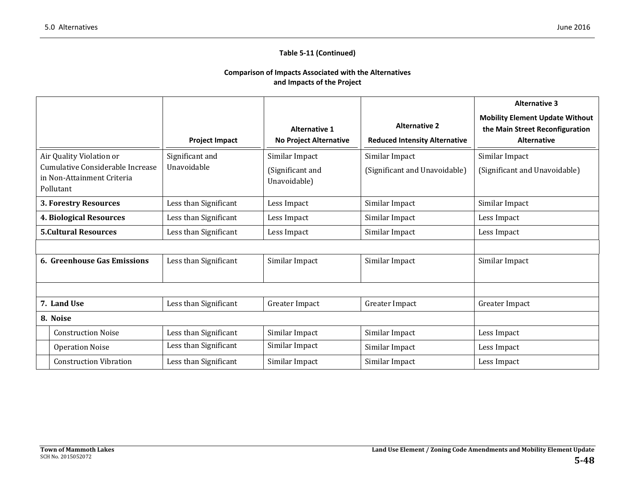#### **Table 5‐11 (Continued)**

#### **Comparison of Impacts Associated with the Alternatives and Impacts of the Project**

|                                                                                                         |                               |                       |                                                                                                                       |                               | <b>Alternative 3</b>                                                                            |  |  |
|---------------------------------------------------------------------------------------------------------|-------------------------------|-----------------------|-----------------------------------------------------------------------------------------------------------------------|-------------------------------|-------------------------------------------------------------------------------------------------|--|--|
|                                                                                                         |                               | <b>Project Impact</b> | <b>Alternative 2</b><br><b>Alternative 1</b><br><b>No Project Alternative</b><br><b>Reduced Intensity Alternative</b> |                               | <b>Mobility Element Update Without</b><br>the Main Street Reconfiguration<br><b>Alternative</b> |  |  |
| Air Quality Violation or<br>Cumulative Considerable Increase<br>in Non-Attainment Criteria<br>Pollutant |                               | Significant and       | Similar Impact                                                                                                        | Similar Impact                | Similar Impact                                                                                  |  |  |
|                                                                                                         |                               | Unavoidable           | (Significant and<br>Unavoidable)                                                                                      | (Significant and Unavoidable) | (Significant and Unavoidable)                                                                   |  |  |
|                                                                                                         | 3. Forestry Resources         | Less than Significant | Less Impact                                                                                                           | Similar Impact                | Similar Impact                                                                                  |  |  |
|                                                                                                         | 4. Biological Resources       | Less than Significant | Less Impact                                                                                                           | Similar Impact                | Less Impact                                                                                     |  |  |
| <b>5. Cultural Resources</b>                                                                            |                               | Less than Significant | Less Impact                                                                                                           | Similar Impact                | Less Impact                                                                                     |  |  |
|                                                                                                         |                               |                       |                                                                                                                       |                               |                                                                                                 |  |  |
| 6. Greenhouse Gas Emissions                                                                             |                               | Less than Significant | Similar Impact                                                                                                        | Similar Impact                | Similar Impact                                                                                  |  |  |
|                                                                                                         |                               |                       |                                                                                                                       |                               |                                                                                                 |  |  |
|                                                                                                         | 7. Land Use                   | Less than Significant | Greater Impact                                                                                                        | Greater Impact                | Greater Impact                                                                                  |  |  |
| 8. Noise                                                                                                |                               |                       |                                                                                                                       |                               |                                                                                                 |  |  |
|                                                                                                         | <b>Construction Noise</b>     | Less than Significant | Similar Impact                                                                                                        | Similar Impact                | Less Impact                                                                                     |  |  |
|                                                                                                         | <b>Operation Noise</b>        | Less than Significant | Similar Impact                                                                                                        | Similar Impact                | Less Impact                                                                                     |  |  |
|                                                                                                         | <b>Construction Vibration</b> | Less than Significant | Similar Impact                                                                                                        | Similar Impact                | Less Impact                                                                                     |  |  |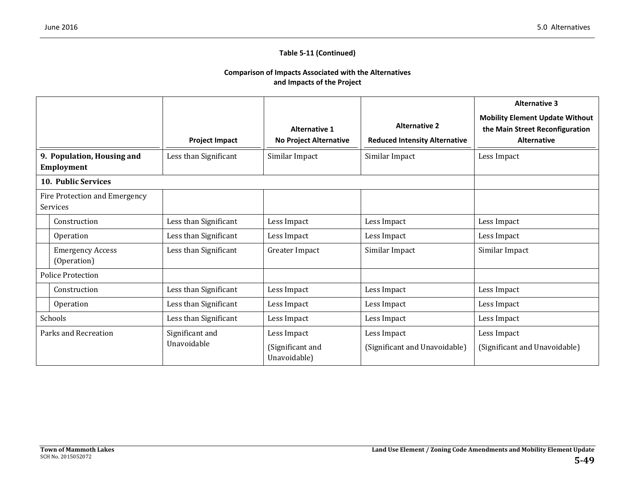#### **Table 5‐11 (Continued)**

#### **Comparison of Impacts Associated with the Alternatives and Impacts of the Project**

|                                                 |                                           |                       |                                                       |                                                              | <b>Alternative 3</b>                                                                            |  |
|-------------------------------------------------|-------------------------------------------|-----------------------|-------------------------------------------------------|--------------------------------------------------------------|-------------------------------------------------------------------------------------------------|--|
|                                                 |                                           | <b>Project Impact</b> | <b>Alternative 1</b><br><b>No Project Alternative</b> | <b>Alternative 2</b><br><b>Reduced Intensity Alternative</b> | <b>Mobility Element Update Without</b><br>the Main Street Reconfiguration<br><b>Alternative</b> |  |
| 9. Population, Housing and<br><b>Employment</b> |                                           | Less than Significant | Similar Impact                                        | Similar Impact                                               | Less Impact                                                                                     |  |
|                                                 | <b>10. Public Services</b>                |                       |                                                       |                                                              |                                                                                                 |  |
|                                                 | Fire Protection and Emergency<br>Services |                       |                                                       |                                                              |                                                                                                 |  |
|                                                 | Construction                              | Less than Significant | Less Impact                                           | Less Impact                                                  | Less Impact                                                                                     |  |
|                                                 | Operation                                 | Less than Significant | Less Impact                                           | Less Impact                                                  | Less Impact                                                                                     |  |
|                                                 | <b>Emergency Access</b><br>(Operation)    | Less than Significant | Greater Impact                                        | Similar Impact                                               | Similar Impact                                                                                  |  |
| <b>Police Protection</b>                        |                                           |                       |                                                       |                                                              |                                                                                                 |  |
|                                                 | Construction                              | Less than Significant | Less Impact                                           | Less Impact                                                  | Less Impact                                                                                     |  |
|                                                 | Operation                                 | Less than Significant | Less Impact                                           | Less Impact                                                  | Less Impact                                                                                     |  |
|                                                 | Schools                                   | Less than Significant | Less Impact                                           | Less Impact                                                  | Less Impact                                                                                     |  |
| Parks and Recreation                            |                                           | Significant and       | Less Impact                                           | Less Impact                                                  | Less Impact                                                                                     |  |
|                                                 |                                           | Unavoidable           | (Significant and<br>Unavoidable)                      | (Significant and Unavoidable)                                | (Significant and Unavoidable)                                                                   |  |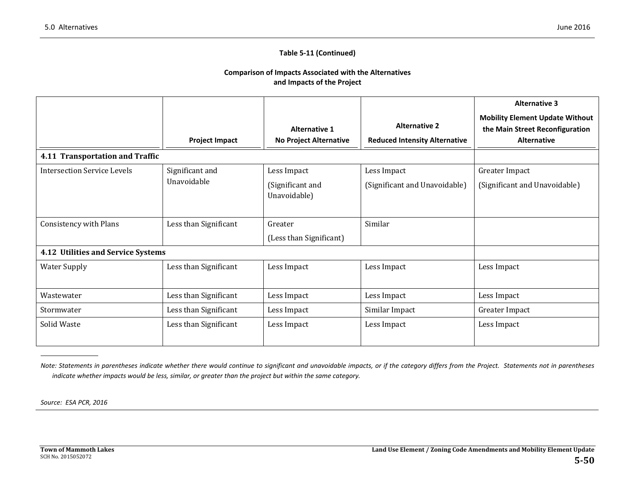#### **Table 5‐11 (Continued)**

#### **Comparison of Impacts Associated with the Alternatives and Impacts of the Project**

|                                    |                                                        |                                                       |                                                              | <b>Alternative 3</b>                                                                            |  |  |
|------------------------------------|--------------------------------------------------------|-------------------------------------------------------|--------------------------------------------------------------|-------------------------------------------------------------------------------------------------|--|--|
|                                    | <b>Project Impact</b>                                  | <b>Alternative 1</b><br><b>No Project Alternative</b> | <b>Alternative 2</b><br><b>Reduced Intensity Alternative</b> | <b>Mobility Element Update Without</b><br>the Main Street Reconfiguration<br><b>Alternative</b> |  |  |
| 4.11 Transportation and Traffic    |                                                        |                                                       |                                                              |                                                                                                 |  |  |
| Intersection Service Levels        | Significant and                                        | Less Impact                                           | Less Impact                                                  | Greater Impact                                                                                  |  |  |
|                                    | <b>Unavoidable</b><br>(Significant and<br>Unavoidable) |                                                       | (Significant and Unavoidable)                                | (Significant and Unavoidable)                                                                   |  |  |
| Consistency with Plans             | Less than Significant                                  | Greater                                               | Similar                                                      |                                                                                                 |  |  |
|                                    | (Less than Significant)                                |                                                       |                                                              |                                                                                                 |  |  |
| 4.12 Utilities and Service Systems |                                                        |                                                       |                                                              |                                                                                                 |  |  |
| <b>Water Supply</b>                | Less than Significant                                  | Less Impact                                           | Less Impact                                                  | Less Impact                                                                                     |  |  |
| Wastewater                         | Less than Significant                                  | Less Impact                                           | Less Impact                                                  | Less Impact                                                                                     |  |  |
| Stormwater                         | Less than Significant                                  | Less Impact                                           | Similar Impact                                               | Greater Impact                                                                                  |  |  |
| Solid Waste                        | Less than Significant                                  | Less Impact                                           | Less Impact                                                  | Less Impact                                                                                     |  |  |

Note: Statements in parentheses indicate whether there would continue to significant and unavoidable impacts, or if the category differs from the Project. Statements not in parentheses indicate whether impacts would be less, similar, or greater than the project but within the same category.

*Source: ESA PCR, 2016*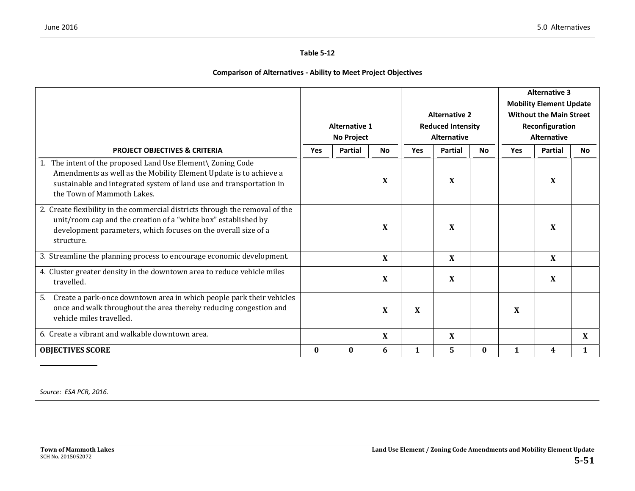#### **Table 5‐12**

#### **Comparison of Alternatives ‐ Ability to Meet Project Objectives**

|                                                                                                                                                                                                                                       |                      |            |                           |                    |                 |                                |            | <b>Alternative 3</b>           |     |
|---------------------------------------------------------------------------------------------------------------------------------------------------------------------------------------------------------------------------------------|----------------------|------------|---------------------------|--------------------|-----------------|--------------------------------|------------|--------------------------------|-----|
|                                                                                                                                                                                                                                       |                      |            |                           |                    |                 |                                |            | <b>Mobility Element Update</b> |     |
|                                                                                                                                                                                                                                       |                      |            | <b>Alternative 2</b>      |                    |                 | <b>Without the Main Street</b> |            |                                |     |
|                                                                                                                                                                                                                                       | <b>Alternative 1</b> |            | <b>Reduced Intensity</b>  |                    | Reconfiguration |                                |            |                                |     |
|                                                                                                                                                                                                                                       |                      | No Project |                           | <b>Alternative</b> |                 | <b>Alternative</b>             |            |                                |     |
| <b>PROJECT OBJECTIVES &amp; CRITERIA</b>                                                                                                                                                                                              | <b>Yes</b>           | Partial    | <b>No</b>                 | Yes                | <b>Partial</b>  | No.                            | <b>Yes</b> | <b>Partial</b>                 | No. |
| 1. The intent of the proposed Land Use Element\ Zoning Code<br>Amendments as well as the Mobility Element Update is to achieve a<br>sustainable and integrated system of land use and transportation in<br>the Town of Mammoth Lakes. |                      |            | X                         |                    | X               |                                |            | X                              |     |
| 2. Create flexibility in the commercial districts through the removal of the<br>unit/room cap and the creation of a "white box" established by<br>development parameters, which focuses on the overall size of a<br>structure.        |                      |            | X                         |                    | X               |                                |            | X                              |     |
| 3. Streamline the planning process to encourage economic development.                                                                                                                                                                 |                      |            | X                         |                    | X               |                                |            | X                              |     |
| 4. Cluster greater density in the downtown area to reduce vehicle miles<br>travelled.                                                                                                                                                 |                      |            | $\boldsymbol{\mathrm{X}}$ |                    | X               |                                |            | X                              |     |
| Create a park-once downtown area in which people park their vehicles<br>5.<br>once and walk throughout the area thereby reducing congestion and<br>vehicle miles travelled.                                                           |                      |            | X                         | X                  |                 |                                | X          |                                |     |
| 6. Create a vibrant and walkable downtown area.                                                                                                                                                                                       |                      |            | X                         |                    | X               |                                |            |                                | X   |
| <b>OBJECTIVES SCORE</b>                                                                                                                                                                                                               | $\bf{0}$             | $\bf{0}$   | 6                         | 1                  | 5.              | $\bf{0}$                       | 1          | 4                              |     |

*Source: ESA PCR, 2016.*